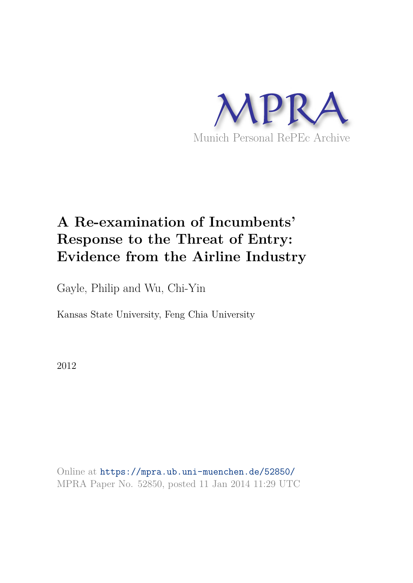

# **A Re-examination of Incumbents' Response to the Threat of Entry: Evidence from the Airline Industry**

Gayle, Philip and Wu, Chi-Yin

Kansas State University, Feng Chia University

2012

Online at https://mpra.ub.uni-muenchen.de/52850/ MPRA Paper No. 52850, posted 11 Jan 2014 11:29 UTC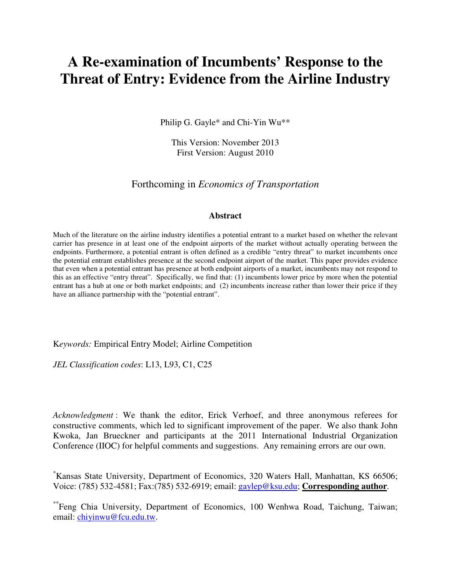# **A Re-examination of Incumbents' Response to the Threat of Entry: Evidence from the Airline Industry**

Philip G. Gayle\* and Chi-Yin Wu\*\*

This Version: November 2013 First Version: August 2010

Forthcoming in *Economics of Transportation*

#### **Abstract**

Much of the literature on the airline industry identifies a potential entrant to a market based on whether the relevant carrier has presence in at least one of the endpoint airports of the market without actually operating between the endpoints. Furthermore, a potential entrant is often defined as a credible "entry threat" to market incumbents once the potential entrant establishes presence at the second endpoint airport of the market. This paper provides evidence that even when a potential entrant has presence at both endpoint airports of a market, incumbents may not respond to this as an effective "entry threat". Specifically, we find that: (1) incumbents lower price by more when the potential entrant has a hub at one or both market endpoints; and (2) incumbents increase rather than lower their price if they have an alliance partnership with the "potential entrant".

K*eywords:* Empirical Entry Model; Airline Competition

*JEL Classification codes*: L13, L93, C1, C25

*Acknowledgment* : We thank the editor, Erick Verhoef, and three anonymous referees for constructive comments, which led to significant improvement of the paper. We also thank John Kwoka, Jan Brueckner and participants at the 2011 International Industrial Organization Conference (IIOC) for helpful comments and suggestions. Any remaining errors are our own.

\*Kansas State University, Department of Economics, 320 Waters Hall, Manhattan, KS 66506; Voice: (785) 532-4581; Fax:(785) 532-6919; email: gaylep@ksu.edu; **Corresponding author**.

\*\*Feng Chia University, Department of Economics, 100 Wenhwa Road, Taichung, Taiwan; email: chiyinwu@fcu.edu.tw.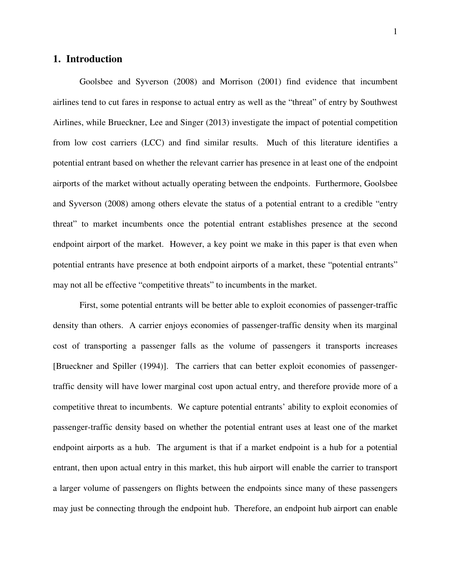# **1. Introduction**

Goolsbee and Syverson (2008) and Morrison (2001) find evidence that incumbent airlines tend to cut fares in response to actual entry as well as the "threat" of entry by Southwest Airlines, while Brueckner, Lee and Singer (2013) investigate the impact of potential competition from low cost carriers (LCC) and find similar results. Much of this literature identifies a potential entrant based on whether the relevant carrier has presence in at least one of the endpoint airports of the market without actually operating between the endpoints. Furthermore, Goolsbee and Syverson (2008) among others elevate the status of a potential entrant to a credible "entry threat" to market incumbents once the potential entrant establishes presence at the second endpoint airport of the market. However, a key point we make in this paper is that even when potential entrants have presence at both endpoint airports of a market, these "potential entrants" may not all be effective "competitive threats" to incumbents in the market.

First, some potential entrants will be better able to exploit economies of passenger-traffic density than others. A carrier enjoys economies of passenger-traffic density when its marginal cost of transporting a passenger falls as the volume of passengers it transports increases [Brueckner and Spiller (1994)]. The carriers that can better exploit economies of passengertraffic density will have lower marginal cost upon actual entry, and therefore provide more of a competitive threat to incumbents. We capture potential entrants' ability to exploit economies of passenger-traffic density based on whether the potential entrant uses at least one of the market endpoint airports as a hub. The argument is that if a market endpoint is a hub for a potential entrant, then upon actual entry in this market, this hub airport will enable the carrier to transport a larger volume of passengers on flights between the endpoints since many of these passengers may just be connecting through the endpoint hub. Therefore, an endpoint hub airport can enable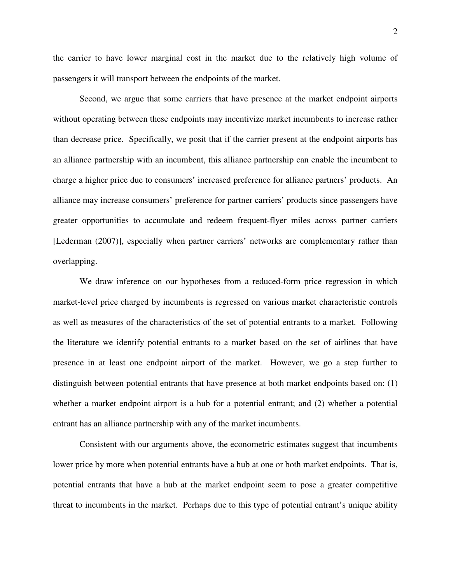the carrier to have lower marginal cost in the market due to the relatively high volume of passengers it will transport between the endpoints of the market.

Second, we argue that some carriers that have presence at the market endpoint airports without operating between these endpoints may incentivize market incumbents to increase rather than decrease price. Specifically, we posit that if the carrier present at the endpoint airports has an alliance partnership with an incumbent, this alliance partnership can enable the incumbent to charge a higher price due to consumers' increased preference for alliance partners' products. An alliance may increase consumers' preference for partner carriers' products since passengers have greater opportunities to accumulate and redeem frequent-flyer miles across partner carriers [Lederman (2007)], especially when partner carriers' networks are complementary rather than overlapping.

We draw inference on our hypotheses from a reduced-form price regression in which market-level price charged by incumbents is regressed on various market characteristic controls as well as measures of the characteristics of the set of potential entrants to a market. Following the literature we identify potential entrants to a market based on the set of airlines that have presence in at least one endpoint airport of the market. However, we go a step further to distinguish between potential entrants that have presence at both market endpoints based on: (1) whether a market endpoint airport is a hub for a potential entrant; and (2) whether a potential entrant has an alliance partnership with any of the market incumbents.

Consistent with our arguments above, the econometric estimates suggest that incumbents lower price by more when potential entrants have a hub at one or both market endpoints. That is, potential entrants that have a hub at the market endpoint seem to pose a greater competitive threat to incumbents in the market. Perhaps due to this type of potential entrant's unique ability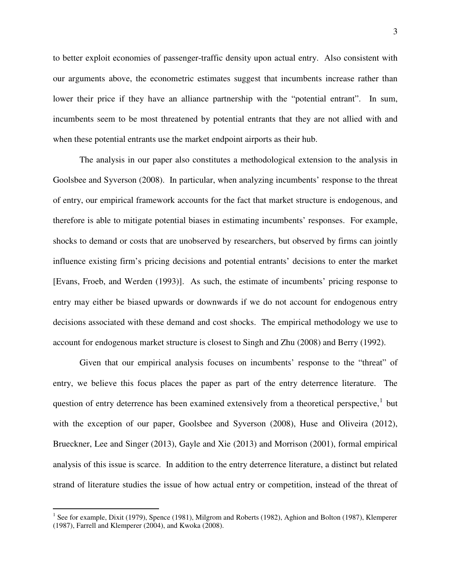to better exploit economies of passenger-traffic density upon actual entry. Also consistent with our arguments above, the econometric estimates suggest that incumbents increase rather than lower their price if they have an alliance partnership with the "potential entrant". In sum, incumbents seem to be most threatened by potential entrants that they are not allied with and when these potential entrants use the market endpoint airports as their hub.

The analysis in our paper also constitutes a methodological extension to the analysis in Goolsbee and Syverson (2008). In particular, when analyzing incumbents' response to the threat of entry, our empirical framework accounts for the fact that market structure is endogenous, and therefore is able to mitigate potential biases in estimating incumbents' responses. For example, shocks to demand or costs that are unobserved by researchers, but observed by firms can jointly influence existing firm's pricing decisions and potential entrants' decisions to enter the market [Evans, Froeb, and Werden (1993)]. As such, the estimate of incumbents' pricing response to entry may either be biased upwards or downwards if we do not account for endogenous entry decisions associated with these demand and cost shocks. The empirical methodology we use to account for endogenous market structure is closest to Singh and Zhu (2008) and Berry (1992).

Given that our empirical analysis focuses on incumbents' response to the "threat" of entry, we believe this focus places the paper as part of the entry deterrence literature. The question of entry deterrence has been examined extensively from a theoretical perspective, $1$  but with the exception of our paper, Goolsbee and Syverson (2008), Huse and Oliveira (2012), Brueckner, Lee and Singer (2013), Gayle and Xie (2013) and Morrison (2001), formal empirical analysis of this issue is scarce. In addition to the entry deterrence literature, a distinct but related strand of literature studies the issue of how actual entry or competition, instead of the threat of

<u>.</u>

<span id="page-4-0"></span><sup>&</sup>lt;sup>1</sup> See for example, Dixit (1979), Spence (1981), Milgrom and Roberts (1982), Aghion and Bolton (1987), Klemperer (1987), Farrell and Klemperer (2004), and Kwoka (2008).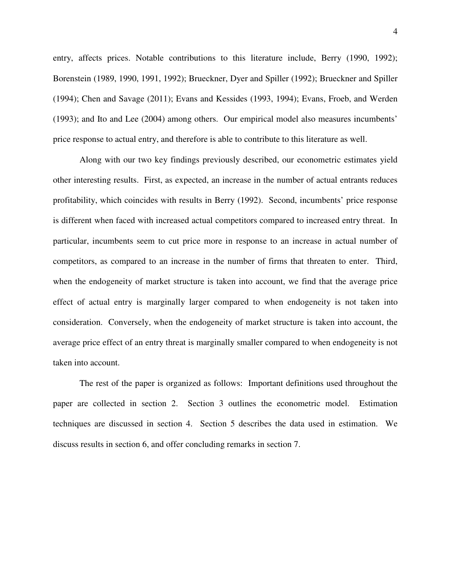entry, affects prices. Notable contributions to this literature include, Berry (1990, 1992); Borenstein (1989, 1990, 1991, 1992); Brueckner, Dyer and Spiller (1992); Brueckner and Spiller (1994); Chen and Savage (2011); Evans and Kessides (1993, 1994); Evans, Froeb, and Werden (1993); and Ito and Lee (2004) among others. Our empirical model also measures incumbents' price response to actual entry, and therefore is able to contribute to this literature as well.

Along with our two key findings previously described, our econometric estimates yield other interesting results. First, as expected, an increase in the number of actual entrants reduces profitability, which coincides with results in Berry (1992). Second, incumbents' price response is different when faced with increased actual competitors compared to increased entry threat. In particular, incumbents seem to cut price more in response to an increase in actual number of competitors, as compared to an increase in the number of firms that threaten to enter. Third, when the endogeneity of market structure is taken into account, we find that the average price effect of actual entry is marginally larger compared to when endogeneity is not taken into consideration. Conversely, when the endogeneity of market structure is taken into account, the average price effect of an entry threat is marginally smaller compared to when endogeneity is not taken into account.

The rest of the paper is organized as follows: Important definitions used throughout the paper are collected in section 2. Section 3 outlines the econometric model. Estimation techniques are discussed in section 4. Section 5 describes the data used in estimation. We discuss results in section 6, and offer concluding remarks in section 7.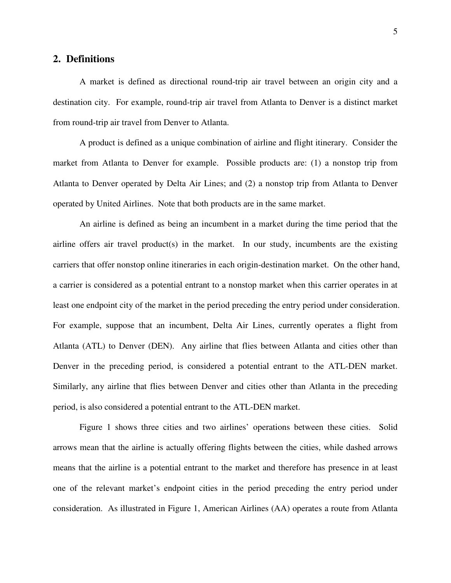# **2. Definitions**

A market is defined as directional round-trip air travel between an origin city and a destination city. For example, round-trip air travel from Atlanta to Denver is a distinct market from round-trip air travel from Denver to Atlanta.

A product is defined as a unique combination of airline and flight itinerary. Consider the market from Atlanta to Denver for example. Possible products are: (1) a nonstop trip from Atlanta to Denver operated by Delta Air Lines; and (2) a nonstop trip from Atlanta to Denver operated by United Airlines. Note that both products are in the same market.

An airline is defined as being an incumbent in a market during the time period that the airline offers air travel product(s) in the market. In our study, incumbents are the existing carriers that offer nonstop online itineraries in each origin-destination market. On the other hand, a carrier is considered as a potential entrant to a nonstop market when this carrier operates in at least one endpoint city of the market in the period preceding the entry period under consideration. For example, suppose that an incumbent, Delta Air Lines, currently operates a flight from Atlanta (ATL) to Denver (DEN). Any airline that flies between Atlanta and cities other than Denver in the preceding period, is considered a potential entrant to the ATL-DEN market. Similarly, any airline that flies between Denver and cities other than Atlanta in the preceding period, is also considered a potential entrant to the ATL-DEN market.

Figure 1 shows three cities and two airlines' operations between these cities. Solid arrows mean that the airline is actually offering flights between the cities, while dashed arrows means that the airline is a potential entrant to the market and therefore has presence in at least one of the relevant market's endpoint cities in the period preceding the entry period under consideration. As illustrated in Figure 1, American Airlines (AA) operates a route from Atlanta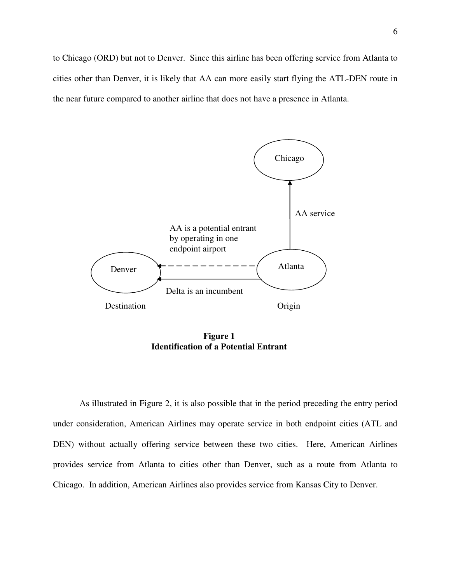to Chicago (ORD) but not to Denver. Since this airline has been offering service from Atlanta to cities other than Denver, it is likely that AA can more easily start flying the ATL-DEN route in the near future compared to another airline that does not have a presence in Atlanta.



**Figure 1 Identification of a Potential Entrant**

As illustrated in Figure 2, it is also possible that in the period preceding the entry period under consideration, American Airlines may operate service in both endpoint cities (ATL and DEN) without actually offering service between these two cities. Here, American Airlines provides service from Atlanta to cities other than Denver, such as a route from Atlanta to Chicago. In addition, American Airlines also provides service from Kansas City to Denver.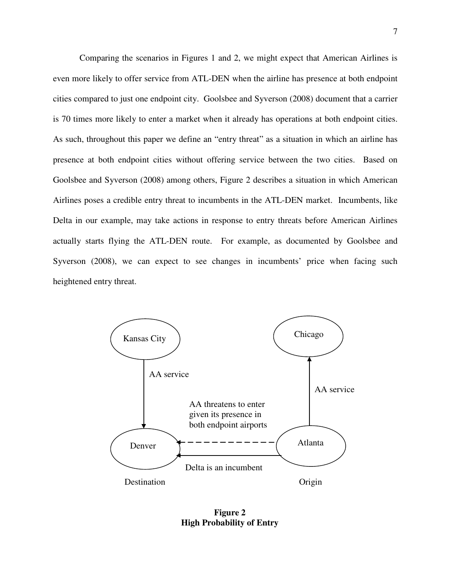Comparing the scenarios in Figures 1 and 2, we might expect that American Airlines is even more likely to offer service from ATL-DEN when the airline has presence at both endpoint cities compared to just one endpoint city. Goolsbee and Syverson (2008) document that a carrier is 70 times more likely to enter a market when it already has operations at both endpoint cities. As such, throughout this paper we define an "entry threat" as a situation in which an airline has presence at both endpoint cities without offering service between the two cities. Based on Goolsbee and Syverson (2008) among others, Figure 2 describes a situation in which American Airlines poses a credible entry threat to incumbents in the ATL-DEN market. Incumbents, like Delta in our example, may take actions in response to entry threats before American Airlines actually starts flying the ATL-DEN route. For example, as documented by Goolsbee and Syverson (2008), we can expect to see changes in incumbents' price when facing such heightened entry threat.



**Figure 2 High Probability of Entry**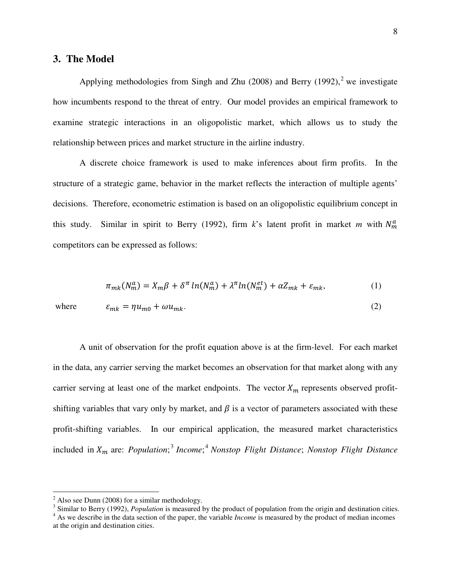# **3. The Model**

Applying methodologies from Singh and Zhu  $(2008)$  $(2008)$  $(2008)$  and Berry  $(1992)$ ,<sup>2</sup> we investigate how incumbents respond to the threat of entry. Our model provides an empirical framework to examine strategic interactions in an oligopolistic market, which allows us to study the relationship between prices and market structure in the airline industry.

A discrete choice framework is used to make inferences about firm profits. In the structure of a strategic game, behavior in the market reflects the interaction of multiple agents' decisions. Therefore, econometric estimation is based on an oligopolistic equilibrium concept in this study. Similar in spirit to Berry (1992), firm  $k$ 's latent profit in market  $m$  with  $N_m^a$ competitors can be expressed as follows:

$$
\pi_{mk}(N_m^a) = X_m \beta + \delta^{\pi} \ln(N_m^a) + \lambda^{\pi} \ln(N_m^{et}) + \alpha Z_{mk} + \varepsilon_{mk}, \tag{1}
$$

<u>.</u>

where 
$$
\varepsilon_{mk} = \eta u_{m0} + \omega u_{mk}.
$$
 (2)

A unit of observation for the profit equation above is at the firm-level. For each market in the data, any carrier serving the market becomes an observation for that market along with any carrier serving at least one of the market endpoints. The vector  $X_m$  represents observed profitshifting variables that vary only by market, and  $\beta$  is a vector of parameters associated with these profit-shifting variables. In our empirical application, the measured market characteristics included in  $X_m$  are: *Population*;<sup>[3](#page-9-1)</sup> Income;<sup>[4](#page-9-2)</sup> Nonstop Flight Distance; Nonstop Flight Distance

<span id="page-9-0"></span> $2$  Also see Dunn (2008) for a similar methodology.

<span id="page-9-1"></span><sup>&</sup>lt;sup>3</sup> Similar to Berry (1992), *Population* is measured by the product of population from the origin and destination cities.

<span id="page-9-2"></span><sup>&</sup>lt;sup>4</sup> As we describe in the data section of the paper, the variable *Income* is measured by the product of median incomes at the origin and destination cities.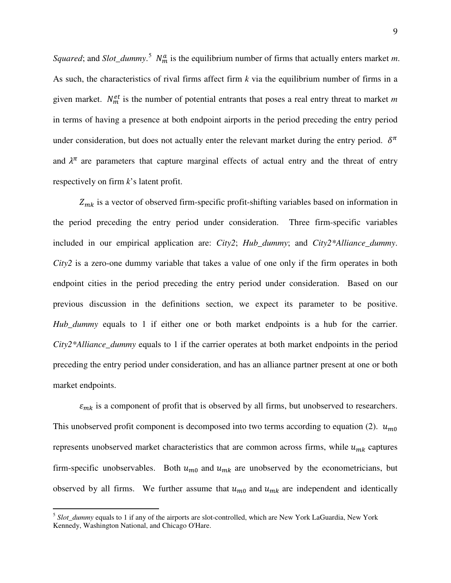*Squared*; and *Slot\_dummy*.<sup>[5](#page-10-0)</sup>  $N_m^a$  is the equilibrium number of firms that actually enters market *m*. As such, the characteristics of rival firms affect firm *k* via the equilibrium number of firms in a given market.  $N_m^{et}$  is the number of potential entrants that poses a real entry threat to market *m* in terms of having a presence at both endpoint airports in the period preceding the entry period under consideration, but does not actually enter the relevant market during the entry period.  $\delta^{\pi}$ and  $\lambda^{\pi}$  are parameters that capture marginal effects of actual entry and the threat of entry respectively on firm *k*'s latent profit.

 $Z_{mk}$  is a vector of observed firm-specific profit-shifting variables based on information in the period preceding the entry period under consideration. Three firm-specific variables included in our empirical application are: *City2*; *Hub\_dummy*; and *City2\*Alliance\_dummy*. *City2* is a zero-one dummy variable that takes a value of one only if the firm operates in both endpoint cities in the period preceding the entry period under consideration. Based on our previous discussion in the definitions section, we expect its parameter to be positive. *Hub\_dummy* equals to 1 if either one or both market endpoints is a hub for the carrier. *City2\*Alliance\_dummy* equals to 1 if the carrier operates at both market endpoints in the period preceding the entry period under consideration, and has an alliance partner present at one or both market endpoints.

 $\varepsilon_{mk}$  is a component of profit that is observed by all firms, but unobserved to researchers. This unobserved profit component is decomposed into two terms according to equation (2).  $u_{m0}$ represents unobserved market characteristics that are common across firms, while  $u_{mk}$  captures firm-specific unobservables. Both  $u_{m0}$  and  $u_{mk}$  are unobserved by the econometricians, but observed by all firms. We further assume that  $u_{m0}$  and  $u_{mk}$  are independent and identically

<span id="page-10-0"></span><sup>&</sup>lt;sup>5</sup> Slot\_dummy equals to 1 if any of the airports are slot-controlled, which are New York LaGuardia, New York Kennedy, Washington National, and Chicago O'Hare.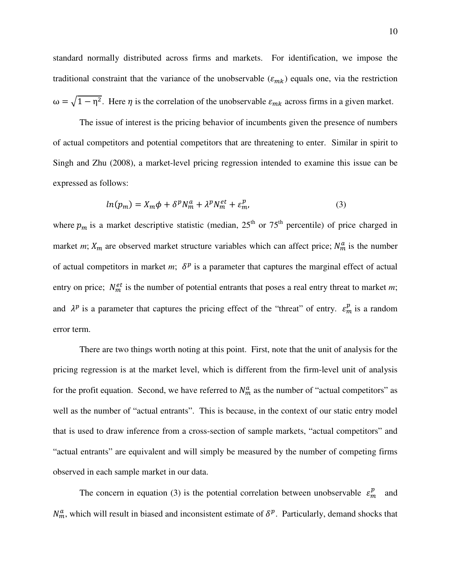standard normally distributed across firms and markets. For identification, we impose the traditional constraint that the variance of the unobservable  $(\varepsilon_{mk})$  equals one, via the restriction  $\omega = \sqrt{1 - \eta^2}$ . Here  $\eta$  is the correlation of the unobservable  $\varepsilon_{mk}$  across firms in a given market.

The issue of interest is the pricing behavior of incumbents given the presence of numbers of actual competitors and potential competitors that are threatening to enter. Similar in spirit to Singh and Zhu (2008), a market-level pricing regression intended to examine this issue can be expressed as follows:

$$
ln(p_m) = X_m \phi + \delta^p N_m^a + \lambda^p N_m^{et} + \varepsilon_m^p,
$$
\n(3)

where  $p_m$  is a market descriptive statistic (median, 25<sup>th</sup> or 75<sup>th</sup> percentile) of price charged in market *m*;  $X_m$  are observed market structure variables which can affect price;  $N_m^a$  is the number of actual competitors in market *m*;  $\delta^p$  is a parameter that captures the marginal effect of actual entry on price;  $N_m^{et}$  is the number of potential entrants that poses a real entry threat to market *m*; and  $\lambda^p$  is a parameter that captures the pricing effect of the "threat" of entry.  $\varepsilon_m^p$  is a random error term.

There are two things worth noting at this point. First, note that the unit of analysis for the pricing regression is at the market level, which is different from the firm-level unit of analysis for the profit equation. Second, we have referred to  $N_m^a$  as the number of "actual competitors" as well as the number of "actual entrants". This is because, in the context of our static entry model that is used to draw inference from a cross-section of sample markets, "actual competitors" and "actual entrants" are equivalent and will simply be measured by the number of competing firms observed in each sample market in our data.

The concern in equation (3) is the potential correlation between unobservable  $\varepsilon_m^p$  and  $N_m^a$ , which will result in biased and inconsistent estimate of  $\delta^p$ . Particularly, demand shocks that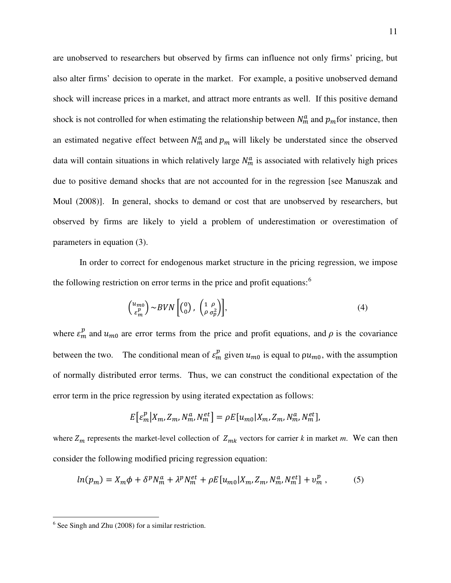are unobserved to researchers but observed by firms can influence not only firms' pricing, but also alter firms' decision to operate in the market. For example, a positive unobserved demand shock will increase prices in a market, and attract more entrants as well. If this positive demand shock is not controlled for when estimating the relationship between  $N_m^a$  and  $p_m$  for instance, then an estimated negative effect between  $N_m^a$  and  $p_m$  will likely be understated since the observed data will contain situations in which relatively large  $N_m^a$  is associated with relatively high prices due to positive demand shocks that are not accounted for in the regression [see Manuszak and Moul (2008)]. In general, shocks to demand or cost that are unobserved by researchers, but observed by firms are likely to yield a problem of underestimation or overestimation of parameters in equation (3).

In order to correct for endogenous market structure in the pricing regression, we impose the following restriction on error terms in the price and profit equations: $<sup>6</sup>$  $<sup>6</sup>$  $<sup>6</sup>$ </sup>

$$
\begin{pmatrix} u_{m0} \\ \varepsilon_m^p \end{pmatrix} \sim BVN \begin{pmatrix} 0 \\ 0 \end{pmatrix}, \begin{pmatrix} 1 & \rho \\ \rho & \sigma_p^2 \end{pmatrix},\tag{4}
$$

where  $\varepsilon_m^p$  and  $u_{m0}$  are error terms from the price and profit equations, and  $\rho$  is the covariance between the two. The conditional mean of  $\varepsilon_m^p$  given  $u_{m0}$  is equal to  $\rho u_{m0}$ , with the assumption of normally distributed error terms. Thus, we can construct the conditional expectation of the error term in the price regression by using iterated expectation as follows:

$$
E\big[\varepsilon_m^p \big| X_m, Z_m, N_m^a, N_m^{et} \big] = \rho E\big[u_{m0} | X_m, Z_m, N_m^a, N_m^{et}\big],
$$

where  $Z_m$  represents the market-level collection of  $Z_{mk}$  vectors for carrier k in market m. We can then consider the following modified pricing regression equation:

$$
ln(p_m) = X_m \phi + \delta^p N_m^a + \lambda^p N_m^{et} + \rho E[u_{m0}|X_m, Z_m, N_m^a, N_m^{et}] + v_m^p , \qquad (5)
$$

<u>.</u>

<span id="page-12-0"></span><sup>&</sup>lt;sup>6</sup> See Singh and Zhu (2008) for a similar restriction.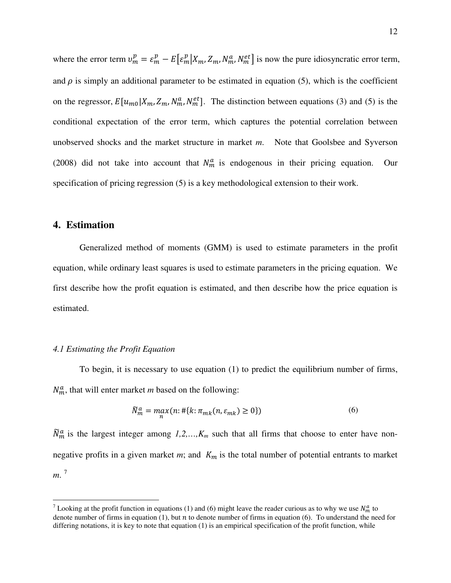where the error term  $v_m^p = \varepsilon_m^p - E[\varepsilon_m^p | X_m, Z_m, N_m^a, N_m^{et}]$  is now the pure idiosyncratic error term, and  $\rho$  is simply an additional parameter to be estimated in equation (5), which is the coefficient on the regressor,  $E[u_{m0}|X_m, Z_m, N_m^a, N_m^{et}]$ . The distinction between equations (3) and (5) is the conditional expectation of the error term, which captures the potential correlation between unobserved shocks and the market structure in market *m*. Note that Goolsbee and Syverson (2008) did not take into account that  $N_m^a$  is endogenous in their pricing equation. Our specification of pricing regression (5) is a key methodological extension to their work.

## **4. Estimation**

-

Generalized method of moments (GMM) is used to estimate parameters in the profit equation, while ordinary least squares is used to estimate parameters in the pricing equation. We first describe how the profit equation is estimated, and then describe how the price equation is estimated.

#### *4.1 Estimating the Profit Equation*

To begin, it is necessary to use equation (1) to predict the equilibrium number of firms,  $N_m^a$ , that will enter market *m* based on the following:

$$
\widetilde{N}_m^a = \max_n (n: \# \{ k: \pi_{mk} (n, \varepsilon_{mk}) \ge 0 \}) \tag{6}
$$

 $\tilde{N}_m^a$  is the largest integer among  $1, 2, ..., K_m$  such that all firms that choose to enter have nonnegative profits in a given market  $m$ ; and  $K_m$  is the total number of potential entrants to market *m*. [7](#page-13-0)

<span id="page-13-0"></span>Looking at the profit function in equations (1) and (6) might leave the reader curious as to why we use  $N_m^a$  to denote number of firms in equation (1), but  $n$  to denote number of firms in equation (6). To understand the need for differing notations, it is key to note that equation (1) is an empirical specification of the profit function, while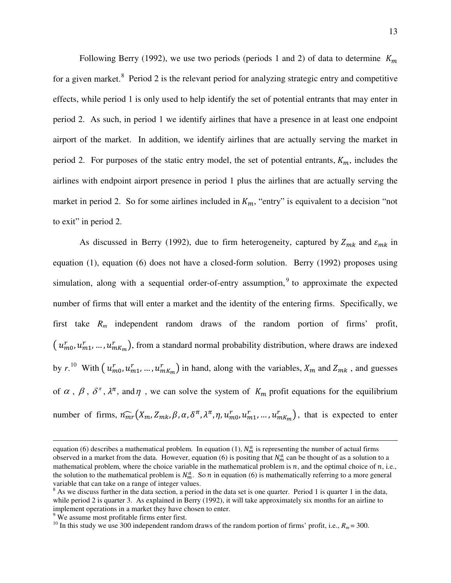Following Berry (1992), we use two periods (periods 1 and 2) of data to determine  $K_m$ for a given market. <sup>[8](#page-14-0)</sup> Period 2 is the relevant period for analyzing strategic entry and competitive effects, while period 1 is only used to help identify the set of potential entrants that may enter in period 2. As such, in period 1 we identify airlines that have a presence in at least one endpoint airport of the market. In addition, we identify airlines that are actually serving the market in period 2. For purposes of the static entry model, the set of potential entrants,  $K_m$ , includes the airlines with endpoint airport presence in period 1 plus the airlines that are actually serving the market in period 2. So for some airlines included in  $K_m$ , "entry" is equivalent to a decision "not to exit" in period 2.

As discussed in Berry (1992), due to firm heterogeneity, captured by  $Z_{mk}$  and  $\varepsilon_{mk}$  in equation (1), equation (6) does not have a closed-form solution. Berry (1992) proposes using simulation, along with a sequential order-of-entry assumption,<sup>[9](#page-14-1)</sup> to approximate the expected number of firms that will enter a market and the identity of the entering firms. Specifically, we first take *R<sup>m</sup>* independent random draws of the random portion of firms' profit,  $(u_{m0}^r, u_{m1}^r, ..., u_{mK_m}^r)$ , from a standard normal probability distribution, where draws are indexed by  $r$ .<sup>[10](#page-14-2)</sup> With  $(u_{m0}^r, u_{m1}^r, ..., u_{mK_m}^r)$  in hand, along with the variables,  $X_m$  and  $Z_{mk}$ , and guesses of  $\alpha$ ,  $\beta$ ,  $\delta^{\pi}$ ,  $\lambda^{\pi}$ , and  $\eta$ , we can solve the system of  $K_m$  profit equations for the equilibrium number of firms,  $\hat{n}_{mr}(X_m, Z_{mk}, \beta, \alpha, \delta^{\pi}, \lambda^{\pi}, \eta, u_{m0}^r, u_{m1}^r, ..., u_{mK_m}^r)$ , that is expected to enter

 $\overline{a}$ 

equation (6) describes a mathematical problem. In equation (1),  $N_m^a$  is representing the number of actual firms observed in a market from the data. However, equation (6) is positing that  $N_m^a$  can be thought of as a solution to a mathematical problem, where the choice variable in the mathematical problem is  $n$ , and the optimal choice of  $n$ , i.e., the solution to the mathematical problem is  $N_m^a$ . So *n* in equation (6) is mathematically referring to a more general variable that can take on a range of integer values.

<span id="page-14-0"></span> $8$  As we discuss further in the data section, a period in the data set is one quarter. Period 1 is quarter 1 in the data, while period 2 is quarter 3. As explained in Berry (1992), it will take approximately six months for an airline to implement operations in a market they have chosen to enter.

<span id="page-14-1"></span><sup>&</sup>lt;sup>9</sup> We assume most profitable firms enter first.

<span id="page-14-2"></span><sup>&</sup>lt;sup>10</sup> In this study we use 300 independent random draws of the random portion of firms' profit, i.e.,  $R_m = 300$ .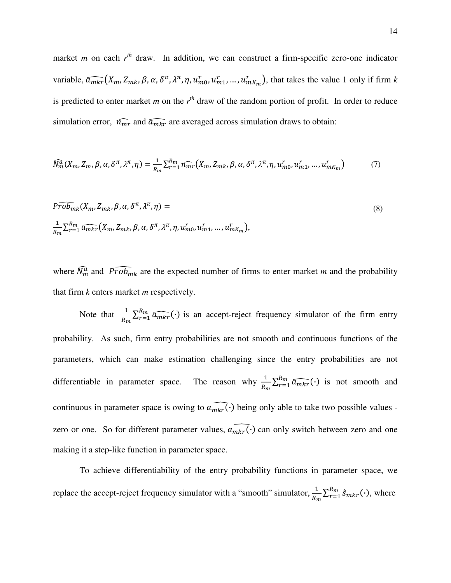market *m* on each  $r^{th}$  draw. In addition, we can construct a firm-specific zero-one indicator variable,  $\widehat{a_{mkr}}(X_m, Z_{mk}, \beta, \alpha, \delta^{\pi}, \lambda^{\pi}, \eta, u_{m0}^r, u_{m1}^r, ..., u_{mK_m}^r)$ , that takes the value 1 only if firm k is predicted to enter market *m* on the  $r<sup>th</sup>$  draw of the random portion of profit. In order to reduce simulation error,  $\hat{n_{mr}}$  and  $\hat{a_{mkr}}$  are averaged across simulation draws to obtain:

$$
\widehat{N}_{m}^{\widehat{a}}(X_{m},Z_{m},\beta,\alpha,\delta^{\pi},\lambda^{\pi},\eta) = \frac{1}{R_{m}}\sum_{r=1}^{R_{m}}\widehat{n_{mr}}(X_{m},Z_{mk},\beta,\alpha,\delta^{\pi},\lambda^{\pi},\eta,u_{m0}^{r},u_{m1}^{r},...,u_{mK_{m}}^{r})
$$
(7)

$$
P\widehat{rob}_{mk}(X_m, Z_{mk}, \beta, \alpha, \delta^{\pi}, \lambda^{\pi}, \eta) =
$$
  

$$
\frac{1}{R_m} \sum_{r=1}^{R_m} \widehat{a_{mkr}}(X_m, Z_{mk}, \beta, \alpha, \delta^{\pi}, \lambda^{\pi}, \eta, u_{m0}^r, u_{m1}^r, ..., u_{mk_m}^r),
$$
 (8)

where  $\tilde{N}_m^{\tilde{a}}$  and  $\tilde{Prob}_{mk}$  are the expected number of firms to enter market *m* and the probability that firm *k* enters market *m* respectively.

Note that  $\frac{1}{R_m} \sum_{r=1}^{R_m} \widehat{a_{mkr}}(\cdot)$  is an accept-reject frequency simulator of the firm entry probability. As such, firm entry probabilities are not smooth and continuous functions of the parameters, which can make estimation challenging since the entry probabilities are not differentiable in parameter space.  $\frac{1}{R_m} \sum_{r=1}^{R_m} \widehat{a_{mkr}}(\cdot)$  is not smooth and continuous in parameter space is owing to  $a_{\widehat{mkr}}(\cdot)$  being only able to take two possible values zero or one. So for different parameter values,  $\widehat{a_{mkr}}(\cdot)$  can only switch between zero and one making it a step-like function in parameter space.

To achieve differentiability of the entry probability functions in parameter space, we replace the accept-reject frequency simulator with a "smooth" simulator,  $\frac{1}{n}$  $\frac{1}{R_m} \sum_{r=1}^{R_m} \hat{S}_{mkr}(\cdot)$ , where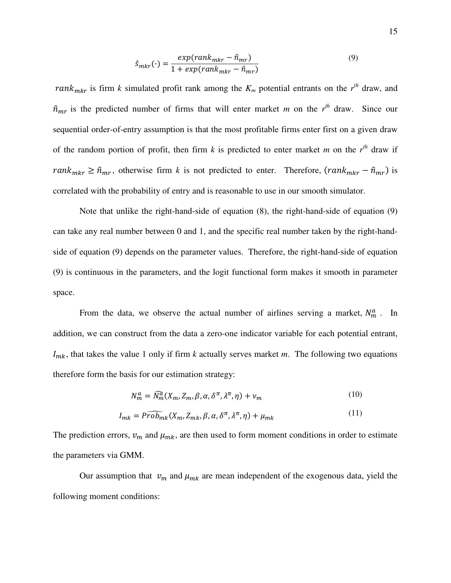$$
\hat{s}_{mkr}(\cdot) = \frac{exp(rank_{mkr} - \hat{n}_{mr})}{1 + exp(rank_{mkr} - \hat{n}_{mr})}
$$
\n(9)

*rank<sub>mkr</sub>* is firm *k* simulated profit rank among the  $K_m$  potential entrants on the  $r<sup>th</sup>$  draw, and  $\hat{n}_{mr}$  is the predicted number of firms that will enter market *m* on the  $r^{th}$  draw. Since our sequential order-of-entry assumption is that the most profitable firms enter first on a given draw of the random portion of profit, then firm  $k$  is predicted to enter market  $m$  on the  $r<sup>th</sup>$  draw if  $rank_{mkr} \geq \hat{n}_{mr}$ , otherwise firm *k* is not predicted to enter. Therefore,  $(rank_{mkr} - \hat{n}_{mr})$  is correlated with the probability of entry and is reasonable to use in our smooth simulator.

Note that unlike the right-hand-side of equation (8), the right-hand-side of equation (9) can take any real number between 0 and 1, and the specific real number taken by the right-handside of equation (9) depends on the parameter values. Therefore, the right-hand-side of equation (9) is continuous in the parameters, and the logit functional form makes it smooth in parameter space.

From the data, we observe the actual number of airlines serving a market,  $N_m^a$ . In addition, we can construct from the data a zero-one indicator variable for each potential entrant,  $I_{mk}$ , that takes the value 1 only if firm *k* actually serves market *m*. The following two equations therefore form the basis for our estimation strategy:

$$
N_m^a = \widehat{N_m^a}(X_m, Z_m, \beta, \alpha, \delta^\pi, \lambda^\pi, \eta) + \nu_m
$$
\n(10)

$$
I_{mk} = \widehat{Prob}_{mk}(X_m, Z_{mk}, \beta, \alpha, \delta^{\pi}, \lambda^{\pi}, \eta) + \mu_{mk}
$$
\n(11)

The prediction errors,  $v_m$  and  $\mu_{mk}$ , are then used to form moment conditions in order to estimate the parameters via GMM.

Our assumption that  $v_m$  and  $\mu_{mk}$  are mean independent of the exogenous data, yield the following moment conditions: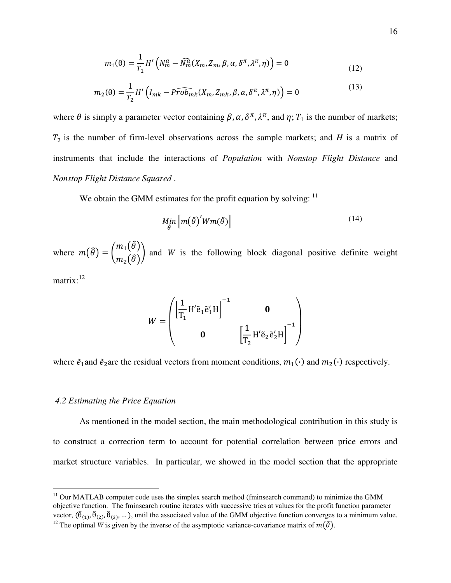$$
m_1(\theta) = \frac{1}{T_1} H'\left(N_m^a - \widehat{N}_m^a(X_m, Z_m, \beta, \alpha, \delta^\pi, \lambda^\pi, \eta)\right) = 0
$$
\n(12)

$$
m_2(\theta) = \frac{1}{T_2} H'\left(I_{mk} - P\widehat{rob}_{mk}(X_m, Z_{mk}, \beta, \alpha, \delta^{\pi}, \lambda^{\pi}, \eta)\right) = 0
$$
\n(13)

where  $\theta$  is simply a parameter vector containing  $\beta$ ,  $\alpha$ ,  $\delta^{\pi}$ ,  $\lambda^{\pi}$ , and  $\eta$ ;  $T_1$  is the number of markets;  $T_2$  is the number of firm-level observations across the sample markets; and *H* is a matrix of instruments that include the interactions of *Population* with *Nonstop Flight Distance* and *Nonstop Flight Distance Squared* .

We obtain the GMM estimates for the profit equation by solving:  $11$ 

$$
\underset{\widehat{\theta}}{\text{Min}} \left[ m(\widehat{\theta})^{'} W m(\widehat{\theta}) \right] \tag{14}
$$

where  $m(\hat{\theta}) = \begin{bmatrix} \end{bmatrix}$  $m_1(\hat{\theta})$  $m_2(\tilde{\theta})$ � and *W* is the following block diagonal positive definite weight matrix: $12$ 

$$
W = \begin{pmatrix} \left[\frac{1}{T_1} H' \tilde{e}_1 \tilde{e}'_1 H\right]^{-1} & \mathbf{0} \\ \mathbf{0} & \left[\frac{1}{T_2} H' \tilde{e}_2 \tilde{e}'_2 H\right]^{-1} \end{pmatrix}
$$

where  $\tilde{e}_1$  and  $\tilde{e}_2$  are the residual vectors from moment conditions,  $m_1(\cdot)$  and  $m_2(\cdot)$  respectively.

#### *4.2 Estimating the Price Equation*

 $\overline{a}$ 

As mentioned in the model section, the main methodological contribution in this study is to construct a correction term to account for potential correlation between price errors and market structure variables. In particular, we showed in the model section that the appropriate

<span id="page-17-0"></span> $11$  Our MATLAB computer code uses the simplex search method (fminsearch command) to minimize the GMM objective function. The fminsearch routine iterates with successive tries at values for the profit function parameter vector,  $(\hat{\theta}_{(1)}, \hat{\theta}_{(2)}, \hat{\theta}_{(3)}, \dots)$ , until the associated value of the GMM objective function converges to a minimum value.

<span id="page-17-1"></span><sup>&</sup>lt;sup>12</sup> The optimal *W* is given by the inverse of the asymptotic variance-covariance matrix of  $m(\hat{\theta})$ .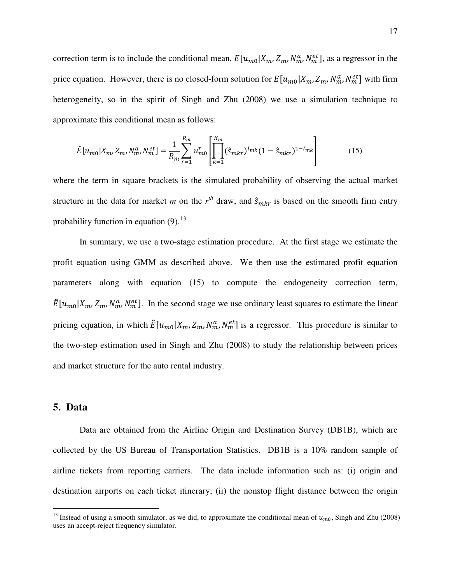correction term is to include the conditional mean,  $E[u_{m0}|X_m, Z_m, N_m^a, N_m^{et}]$ , as a regressor in the price equation. However, there is no closed-form solution for  $E[u_{m0}|X_m, Z_m, N_m^a, N_m^{et}]$  with firm heterogeneity, so in the spirit of Singh and Zhu (2008) we use a simulation technique to approximate this conditional mean as follows:

$$
\hat{E}[u_{m0}|X_m, Z_m, N_m^a, N_m^{et}] = \frac{1}{R_m} \sum_{r=1}^{R_m} u_{m0}^r \left[ \prod_{k=1}^{K_m} (\hat{s}_{mkr})^{I_{mk}} (1 - \hat{s}_{mkr})^{1 - I_{mk}} \right]
$$
(15)

where the term in square brackets is the simulated probability of observing the actual market structure in the data for market *m* on the  $r^{th}$  draw, and  $\hat{s}_{mkr}$  is based on the smooth firm entry probability function in equation  $(9)$ .<sup>[13](#page-18-0)</sup>

In summary, we use a two-stage estimation procedure. At the first stage we estimate the profit equation using GMM as described above. We then use the estimated profit equation parameters along with equation (15) to compute the endogeneity correction term,  $\hat{E}[u_{m0}|X_m, Z_m, N_m^a, N_m^{et}]$ . In the second stage we use ordinary least squares to estimate the linear pricing equation, in which  $\hat{E}[u_{m0}|X_m, Z_m, N_m^a, N_m^{et}]$  is a regressor. This procedure is similar to the two-step estimation used in Singh and Zhu (2008) to study the relationship between prices and market structure for the auto rental industry.

## **5. Data**

 $\overline{a}$ 

Data are obtained from the Airline Origin and Destination Survey (DB1B), which are collected by the US Bureau of Transportation Statistics. DB1B is a 10% random sample of airline tickets from reporting carriers. The data include information such as: (i) origin and destination airports on each ticket itinerary; (ii) the nonstop flight distance between the origin

<span id="page-18-0"></span><sup>&</sup>lt;sup>13</sup> Instead of using a smooth simulator, as we did, to approximate the conditional mean of  $u_{m0}$ , Singh and Zhu (2008) uses an accept-reject frequency simulator.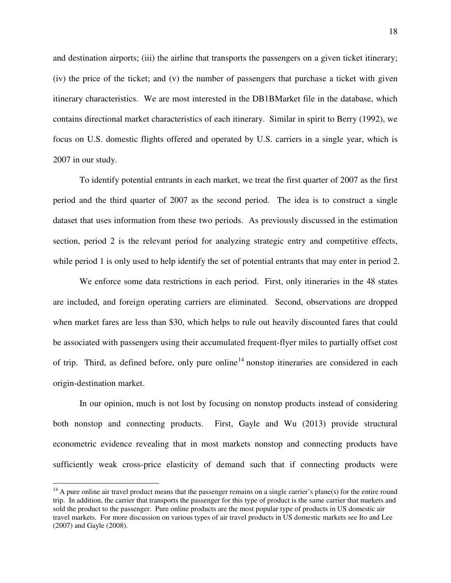and destination airports; (iii) the airline that transports the passengers on a given ticket itinerary; (iv) the price of the ticket; and (v) the number of passengers that purchase a ticket with given itinerary characteristics. We are most interested in the DB1BMarket file in the database, which contains directional market characteristics of each itinerary. Similar in spirit to Berry (1992), we focus on U.S. domestic flights offered and operated by U.S. carriers in a single year, which is 2007 in our study.

To identify potential entrants in each market, we treat the first quarter of 2007 as the first period and the third quarter of 2007 as the second period. The idea is to construct a single dataset that uses information from these two periods. As previously discussed in the estimation section, period 2 is the relevant period for analyzing strategic entry and competitive effects, while period 1 is only used to help identify the set of potential entrants that may enter in period 2.

We enforce some data restrictions in each period. First, only itineraries in the 48 states are included, and foreign operating carriers are eliminated. Second, observations are dropped when market fares are less than \$30, which helps to rule out heavily discounted fares that could be associated with passengers using their accumulated frequent-flyer miles to partially offset cost of trip. Third, as defined before, only pure online<sup>[14](#page-19-0)</sup> nonstop itineraries are considered in each origin-destination market.

In our opinion, much is not lost by focusing on nonstop products instead of considering both nonstop and connecting products. First, Gayle and Wu (2013) provide structural econometric evidence revealing that in most markets nonstop and connecting products have sufficiently weak cross-price elasticity of demand such that if connecting products were

-

<span id="page-19-0"></span> $14$  A pure online air travel product means that the passenger remains on a single carrier's plane(s) for the entire round trip. In addition, the carrier that transports the passenger for this type of product is the same carrier that markets and sold the product to the passenger. Pure online products are the most popular type of products in US domestic air travel markets. For more discussion on various types of air travel products in US domestic markets see Ito and Lee (2007) and Gayle (2008).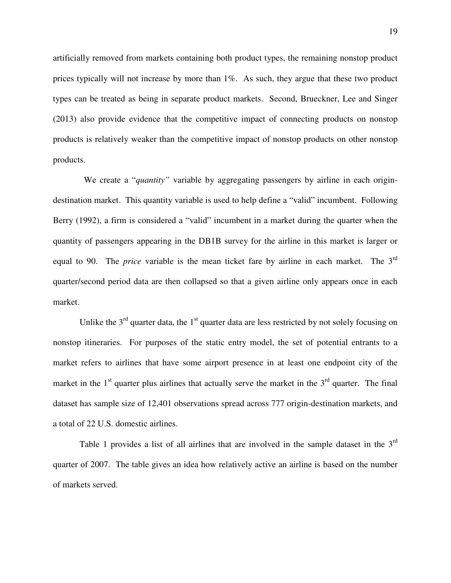artificially removed from markets containing both product types, the remaining nonstop product prices typically will not increase by more than 1%. As such, they argue that these two product types can be treated as being in separate product markets. Second, Brueckner, Lee and Singer (2013) also provide evidence that the competitive impact of connecting products on nonstop products is relatively weaker than the competitive impact of nonstop products on other nonstop products.

We create a "*quantity*" variable by aggregating passengers by airline in each origindestination market. This quantity variable is used to help define a "valid" incumbent. Following Berry (1992), a firm is considered a "valid" incumbent in a market during the quarter when the quantity of passengers appearing in the DB1B survey for the airline in this market is larger or equal to 90. The *price* variable is the mean ticket fare by airline in each market. The 3rd quarter/second period data are then collapsed so that a given airline only appears once in each market.

Unlike the  $3<sup>rd</sup>$  quarter data, the  $1<sup>st</sup>$  quarter data are less restricted by not solely focusing on nonstop itineraries. For purposes of the static entry model, the set of potential entrants to a market refers to airlines that have some airport presence in at least one endpoint city of the market in the  $1<sup>st</sup>$  quarter plus airlines that actually serve the market in the  $3<sup>rd</sup>$  quarter. The final dataset has sample size of 12,401 observations spread across 777 origin-destination markets, and a total of 22 U.S. domestic airlines.

Table 1 provides a list of all airlines that are involved in the sample dataset in the  $3<sup>rd</sup>$ quarter of 2007. The table gives an idea how relatively active an airline is based on the number of markets served.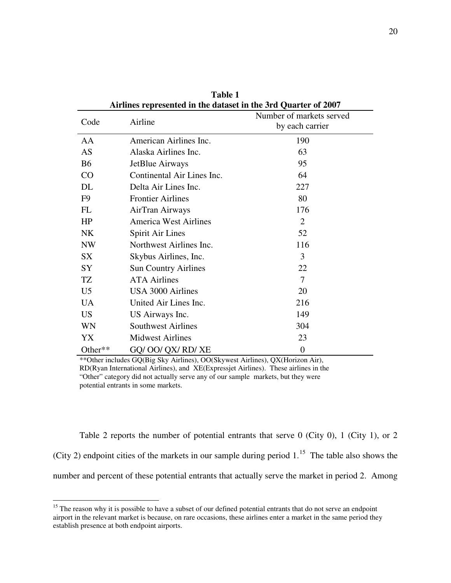| All lines represented in the dataset in the 5rd Quarter of 2007 |                              |                                             |  |  |  |
|-----------------------------------------------------------------|------------------------------|---------------------------------------------|--|--|--|
| Code                                                            | Airline                      | Number of markets served<br>by each carrier |  |  |  |
| AA                                                              | American Airlines Inc.       | 190                                         |  |  |  |
| <b>AS</b>                                                       | Alaska Airlines Inc.         | 63                                          |  |  |  |
| <b>B6</b>                                                       | JetBlue Airways              | 95                                          |  |  |  |
| CO                                                              | Continental Air Lines Inc.   | 64                                          |  |  |  |
| DL                                                              | Delta Air Lines Inc.         | 227                                         |  |  |  |
| F9                                                              | <b>Frontier Airlines</b>     | 80                                          |  |  |  |
| FL                                                              | AirTran Airways              | 176                                         |  |  |  |
| HP                                                              | <b>America West Airlines</b> | 2                                           |  |  |  |
| <b>NK</b>                                                       | <b>Spirit Air Lines</b>      | 52                                          |  |  |  |
| <b>NW</b>                                                       | Northwest Airlines Inc.      | 116                                         |  |  |  |
| <b>SX</b>                                                       | Skybus Airlines, Inc.        | 3                                           |  |  |  |
| SY                                                              | <b>Sun Country Airlines</b>  | 22                                          |  |  |  |
| TZ                                                              | <b>ATA Airlines</b>          | $\overline{7}$                              |  |  |  |
| U <sub>5</sub>                                                  | USA 3000 Airlines            | 20                                          |  |  |  |
| <b>UA</b>                                                       | United Air Lines Inc.        | 216                                         |  |  |  |
| US <sub>1</sub>                                                 | US Airways Inc.              | 149                                         |  |  |  |
| <b>WN</b>                                                       | <b>Southwest Airlines</b>    | 304                                         |  |  |  |
| YX                                                              | <b>Midwest Airlines</b>      | 23                                          |  |  |  |
| Other**                                                         | GQ/ OO/ QX/ RD/ XE           | $\overline{0}$                              |  |  |  |

**Table 1 Airlines represented in the dataset in the 3rd Quarter of 2007** 

\*\*Other includes GQ(Big Sky Airlines), OO(Skywest Airlines), QX(Horizon Air), RD(Ryan International Airlines), and XE(Expressjet Airlines). These airlines in the "Other" category did not actually serve any of our sample markets, but they were potential entrants in some markets.

Table 2 reports the number of potential entrants that serve 0 (City 0), 1 (City 1), or 2 (City 2) endpoint cities of the markets in our sample during period  $1<sup>15</sup>$  $1<sup>15</sup>$  $1<sup>15</sup>$ . The table also shows the number and percent of these potential entrants that actually serve the market in period 2. Among

 $\overline{a}$ 

<span id="page-21-0"></span><sup>&</sup>lt;sup>15</sup> The reason why it is possible to have a subset of our defined potential entrants that do not serve an endpoint airport in the relevant market is because, on rare occasions, these airlines enter a market in the same period they establish presence at both endpoint airports.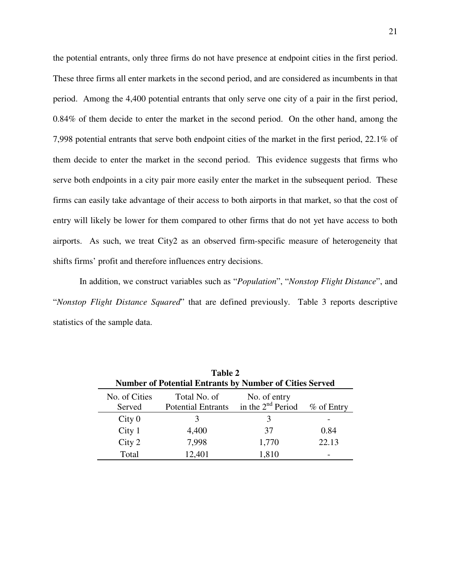the potential entrants, only three firms do not have presence at endpoint cities in the first period. These three firms all enter markets in the second period, and are considered as incumbents in that period. Among the 4,400 potential entrants that only serve one city of a pair in the first period, 0.84% of them decide to enter the market in the second period. On the other hand, among the 7,998 potential entrants that serve both endpoint cities of the market in the first period, 22.1% of them decide to enter the market in the second period. This evidence suggests that firms who serve both endpoints in a city pair more easily enter the market in the subsequent period. These firms can easily take advantage of their access to both airports in that market, so that the cost of entry will likely be lower for them compared to other firms that do not yet have access to both airports. As such, we treat City2 as an observed firm-specific measure of heterogeneity that shifts firms' profit and therefore influences entry decisions.

In addition, we construct variables such as "*Population*", "*Nonstop Flight Distance*", and "*Nonstop Flight Distance Squared*" that are defined previously. Table 3 reports descriptive statistics of the sample data.

| Table 2<br><b>Number of Potential Entrants by Number of Cities Served</b> |                                           |                                     |            |  |  |  |
|---------------------------------------------------------------------------|-------------------------------------------|-------------------------------------|------------|--|--|--|
| No. of Cities<br>Served                                                   | Total No. of<br><b>Potential Entrants</b> | No. of entry<br>in the $2nd$ Period | % of Entry |  |  |  |
| City 0                                                                    | $\mathcal{L}$                             | 3                                   |            |  |  |  |
| City <sub>1</sub>                                                         | 4,400                                     | 37                                  | 0.84       |  |  |  |
| City 2                                                                    | 7,998                                     | 1,770                               | 22.13      |  |  |  |
| Total                                                                     | 12,401                                    | 1,810                               |            |  |  |  |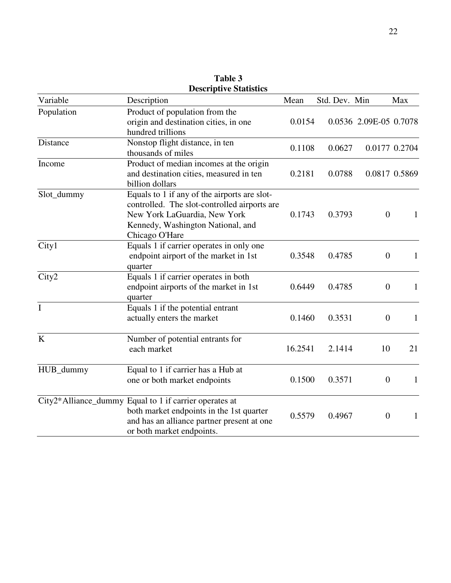| Variable    | Description                                                                                                                                                                         | Mean    | Std. Dev. Min |                        | Max           |
|-------------|-------------------------------------------------------------------------------------------------------------------------------------------------------------------------------------|---------|---------------|------------------------|---------------|
| Population  | Product of population from the<br>origin and destination cities, in one<br>hundred trillions                                                                                        | 0.0154  |               | 0.0536 2.09E-05 0.7078 |               |
| Distance    | Nonstop flight distance, in ten<br>thousands of miles                                                                                                                               | 0.1108  | 0.0627        |                        | 0.0177 0.2704 |
| Income      | Product of median incomes at the origin<br>and destination cities, measured in ten<br>billion dollars                                                                               | 0.2181  | 0.0788        |                        | 0.0817 0.5869 |
| Slot_dummy  | Equals to 1 if any of the airports are slot-<br>controlled. The slot-controlled airports are<br>New York LaGuardia, New York<br>Kennedy, Washington National, and<br>Chicago O'Hare | 0.1743  | 0.3793        | $\overline{0}$         | 1             |
| City1       | Equals 1 if carrier operates in only one<br>endpoint airport of the market in 1st<br>quarter                                                                                        | 0.3548  | 0.4785        | $\boldsymbol{0}$       | 1             |
| City2       | Equals 1 if carrier operates in both<br>endpoint airports of the market in 1st<br>quarter                                                                                           | 0.6449  | 0.4785        | $\boldsymbol{0}$       | 1             |
| $\mathbf I$ | Equals 1 if the potential entrant<br>actually enters the market                                                                                                                     | 0.1460  | 0.3531        | $\overline{0}$         | 1             |
| K           | Number of potential entrants for<br>each market                                                                                                                                     | 16.2541 | 2.1414        | 10                     | 21            |
| HUB_dummy   | Equal to 1 if carrier has a Hub at<br>one or both market endpoints                                                                                                                  | 0.1500  | 0.3571        | $\boldsymbol{0}$       | $\mathbf{1}$  |
|             | City2*Alliance_dummy Equal to 1 if carrier operates at<br>both market endpoints in the 1st quarter<br>and has an alliance partner present at one<br>or both market endpoints.       | 0.5579  | 0.4967        | $\boldsymbol{0}$       | $\mathbf{1}$  |

**Table 3 Descriptive Statistics**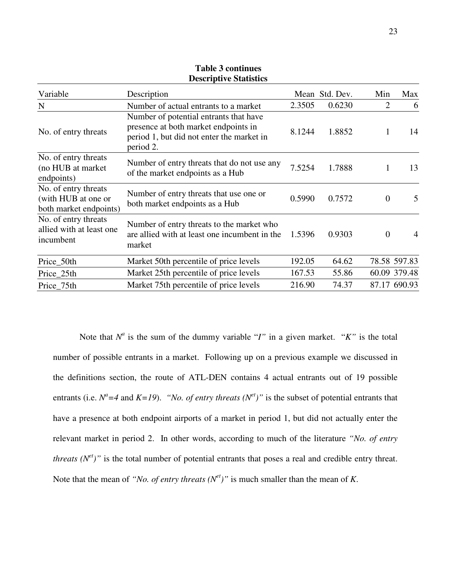| Variable                                                              | Description                                                                                                                              |        | Mean Std. Dev. | Min            | Max            |
|-----------------------------------------------------------------------|------------------------------------------------------------------------------------------------------------------------------------------|--------|----------------|----------------|----------------|
| N                                                                     | Number of actual entrants to a market                                                                                                    | 2.3505 | 0.6230         | $\overline{2}$ | 6              |
| No. of entry threats                                                  | Number of potential entrants that have<br>presence at both market endpoints in<br>period 1, but did not enter the market in<br>period 2. | 8.1244 | 1.8852         | 1              | 14             |
| No. of entry threats<br>(no HUB at market)<br>endpoints)              | Number of entry threats that do not use any<br>of the market endpoints as a Hub                                                          | 7.5254 | 1.7888         | 1              | 13             |
| No. of entry threats<br>(with HUB at one or<br>both market endpoints) | Number of entry threats that use one or<br>both market endpoints as a Hub                                                                | 0.5990 | 0.7572         | $\overline{0}$ | 5              |
| No. of entry threats<br>allied with at least one<br>incumbent         | Number of entry threats to the market who<br>are allied with at least one incumbent in the<br>market                                     | 1.5396 | 0.9303         | $\theta$       | $\overline{4}$ |
| Price_50th                                                            | Market 50th percentile of price levels                                                                                                   | 192.05 | 64.62          |                | 78.58 597.83   |
| Price_25th                                                            | Market 25th percentile of price levels                                                                                                   | 167.53 | 55.86          |                | 60.09 379.48   |
| Price 75th                                                            | Market 75th percentile of price levels                                                                                                   | 216.90 | 74.37          |                | 87.17 690.93   |

**Table 3 continues Descriptive Statistics**

Note that  $N^a$  is the sum of the dummy variable "*I*" in a given market. "*K*" is the total number of possible entrants in a market. Following up on a previous example we discussed in the definitions section, the route of ATL-DEN contains 4 actual entrants out of 19 possible entrants (i.e.  $N^a = 4$  and  $K = 19$ ). *"No. of entry threats (N<sup>et</sup>)*" is the subset of potential entrants that have a presence at both endpoint airports of a market in period 1, but did not actually enter the relevant market in period 2. In other words, according to much of the literature *"No. of entry threats*  $(N^{et})$ " is the total number of potential entrants that poses a real and credible entry threat. Note that the mean of *"No. of entry threats*  $(N<sup>et</sup>)$ " is much smaller than the mean of *K*.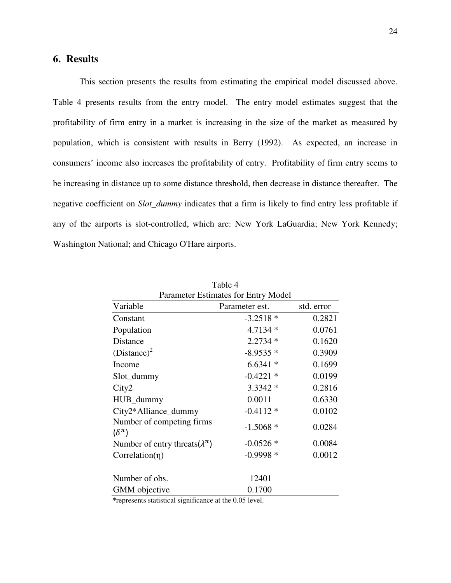# **6. Results**

This section presents the results from estimating the empirical model discussed above. Table 4 presents results from the entry model. The entry model estimates suggest that the profitability of firm entry in a market is increasing in the size of the market as measured by population, which is consistent with results in Berry (1992). As expected, an increase in consumers' income also increases the profitability of entry. Profitability of firm entry seems to be increasing in distance up to some distance threshold, then decrease in distance thereafter. The negative coefficient on *Slot\_dummy* indicates that a firm is likely to find entry less profitable if any of the airports is slot-controlled, which are: New York LaGuardia; New York Kennedy; Washington National; and Chicago O'Hare airports.

| Parameter Estimates for Entry Model           |                |            |  |  |  |  |
|-----------------------------------------------|----------------|------------|--|--|--|--|
| Variable                                      | Parameter est. | std. error |  |  |  |  |
| Constant                                      | $-3.2518*$     | 0.2821     |  |  |  |  |
| Population                                    | $4.7134*$      | 0.0761     |  |  |  |  |
| Distance                                      | $2.2734*$      | 0.1620     |  |  |  |  |
| $(Distance)^2$                                | $-8.9535*$     | 0.3909     |  |  |  |  |
| Income                                        | $6.6341*$      | 0.1699     |  |  |  |  |
| Slot_dummy                                    | $-0.4221$ *    | 0.0199     |  |  |  |  |
| City2                                         | $3.3342*$      | 0.2816     |  |  |  |  |
| HUB_dummy                                     | 0.0011         | 0.6330     |  |  |  |  |
| City2*Alliance_dummy                          | $-0.4112*$     | 0.0102     |  |  |  |  |
| Number of competing firms<br>$(\delta^{\pi})$ | $-1.5068*$     | 0.0284     |  |  |  |  |
| Number of entry threats $(\lambda^{\pi})$     | $-0.0526*$     | 0.0084     |  |  |  |  |
| $Correlation(\eta)$                           | $-0.9998*$     | 0.0012     |  |  |  |  |
| Number of obs.                                | 12401          |            |  |  |  |  |
| <b>GMM</b> objective                          | 0.1700         |            |  |  |  |  |

Table 4 Parameter Estimates for Entry Model

\*represents statistical significance at the 0.05 level.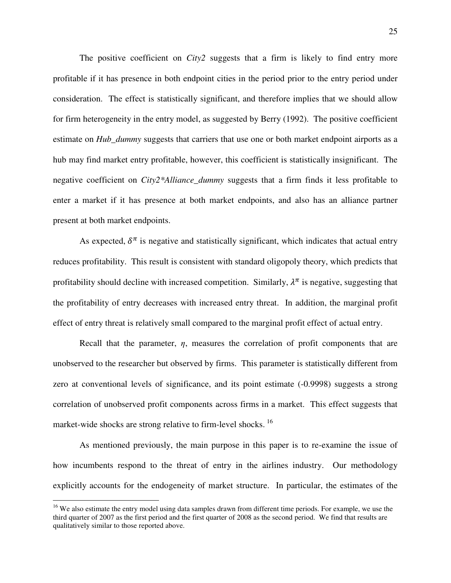The positive coefficient on *City2* suggests that a firm is likely to find entry more profitable if it has presence in both endpoint cities in the period prior to the entry period under consideration. The effect is statistically significant, and therefore implies that we should allow for firm heterogeneity in the entry model, as suggested by Berry (1992). The positive coefficient estimate on *Hub\_dummy* suggests that carriers that use one or both market endpoint airports as a hub may find market entry profitable, however, this coefficient is statistically insignificant. The negative coefficient on *City2\*Alliance\_dummy* suggests that a firm finds it less profitable to enter a market if it has presence at both market endpoints, and also has an alliance partner present at both market endpoints.

As expected,  $\delta^{\pi}$  is negative and statistically significant, which indicates that actual entry reduces profitability. This result is consistent with standard oligopoly theory, which predicts that profitability should decline with increased competition. Similarly,  $\lambda^{\pi}$  is negative, suggesting that the profitability of entry decreases with increased entry threat. In addition, the marginal profit effect of entry threat is relatively small compared to the marginal profit effect of actual entry.

Recall that the parameter, *η*, measures the correlation of profit components that are unobserved to the researcher but observed by firms. This parameter is statistically different from zero at conventional levels of significance, and its point estimate (-0.9998) suggests a strong correlation of unobserved profit components across firms in a market. This effect suggests that market-wide shocks are strong relative to firm-level shocks.<sup>[16](#page-26-0)</sup>

As mentioned previously, the main purpose in this paper is to re-examine the issue of how incumbents respond to the threat of entry in the airlines industry. Our methodology explicitly accounts for the endogeneity of market structure. In particular, the estimates of the

<u>.</u>

<span id="page-26-0"></span><sup>&</sup>lt;sup>16</sup> We also estimate the entry model using data samples drawn from different time periods. For example, we use the third quarter of 2007 as the first period and the first quarter of 2008 as the second period. We find that results are qualitatively similar to those reported above.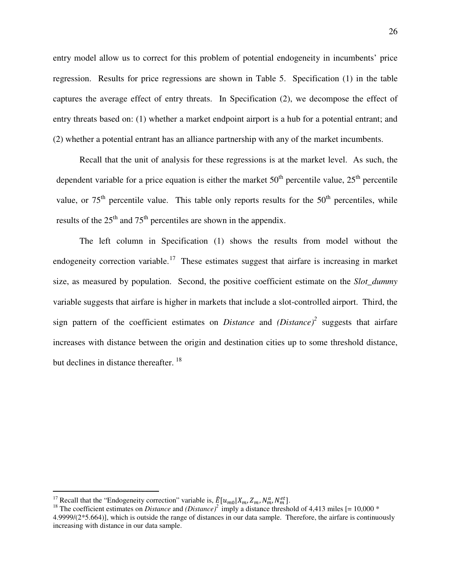entry model allow us to correct for this problem of potential endogeneity in incumbents' price regression. Results for price regressions are shown in Table 5. Specification (1) in the table captures the average effect of entry threats. In Specification (2), we decompose the effect of entry threats based on: (1) whether a market endpoint airport is a hub for a potential entrant; and (2) whether a potential entrant has an alliance partnership with any of the market incumbents.

Recall that the unit of analysis for these regressions is at the market level. As such, the dependent variable for a price equation is either the market  $50<sup>th</sup>$  percentile value,  $25<sup>th</sup>$  percentile value, or  $75<sup>th</sup>$  percentile value. This table only reports results for the  $50<sup>th</sup>$  percentiles, while results of the  $25<sup>th</sup>$  and  $75<sup>th</sup>$  percentiles are shown in the appendix.

The left column in Specification (1) shows the results from model without the endogeneity correction variable.<sup>[17](#page-27-0)</sup> These estimates suggest that airfare is increasing in market size, as measured by population. Second, the positive coefficient estimate on the *Slot\_dummy* variable suggests that airfare is higher in markets that include a slot-controlled airport. Third, the sign pattern of the coefficient estimates on *Distance* and *(Distance)<sup>2</sup>* suggests that airfare increases with distance between the origin and destination cities up to some threshold distance, but declines in distance thereafter. <sup>[18](#page-27-1)</sup>

<u>.</u>

<span id="page-27-0"></span><sup>&</sup>lt;sup>17</sup> Recall that the "Endogeneity correction" variable is,  $\frac{E}{2}[u_{m0}|X_m, Z_m, N_m^a, N_m^{et}].$ 

<span id="page-27-1"></span><sup>&</sup>lt;sup>18</sup> The coefficient estimates on *Distance* and  $(Distance)^2$  imply a distance threshold of 4,413 miles [= 10,000  $*$ 4.9999/( $2*5.664$ ), which is outside the range of distances in our data sample. Therefore, the airfare is continuously increasing with distance in our data sample.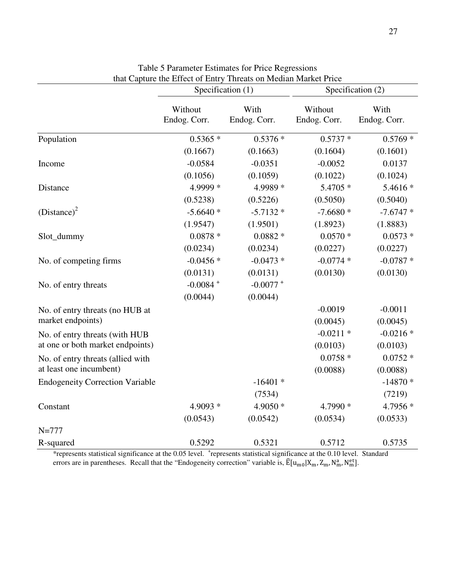|                                        | Specification (1)       |                        |                         | Specification (2)    |  |  |
|----------------------------------------|-------------------------|------------------------|-------------------------|----------------------|--|--|
|                                        | Without<br>Endog. Corr. | With<br>Endog. Corr.   | Without<br>Endog. Corr. | With<br>Endog. Corr. |  |  |
| Population                             | $0.5365*$               | $0.5376*$              | $0.5737*$               | $0.5769*$            |  |  |
|                                        | (0.1667)                | (0.1663)               | (0.1604)                | (0.1601)             |  |  |
| Income                                 | $-0.0584$               | $-0.0351$              | $-0.0052$               | 0.0137               |  |  |
|                                        | (0.1056)                | (0.1059)               | (0.1022)                | (0.1024)             |  |  |
| Distance                               | 4.9999 *                | 4.9989 *               | 5.4705 *                | 5.4616 *             |  |  |
|                                        | (0.5238)                | (0.5226)               | (0.5050)                | (0.5040)             |  |  |
| $(Distance)^2$                         | $-5.6640*$              | $-5.7132*$             | $-7.6680*$              | $-7.6747*$           |  |  |
|                                        | (1.9547)                | (1.9501)               | (1.8923)                | (1.8883)             |  |  |
| Slot_dummy                             | $0.0878*$               | $0.0882*$              | $0.0570*$               | $0.0573*$            |  |  |
|                                        | (0.0234)                | (0.0234)               | (0.0227)                | (0.0227)             |  |  |
| No. of competing firms                 | $-0.0456*$              | $-0.0473*$             | $-0.0774*$              | $-0.0787*$           |  |  |
|                                        | (0.0131)                | (0.0131)               | (0.0130)                | (0.0130)             |  |  |
| No. of entry threats                   | $-0.0084 +$             | $-0.0077$ <sup>+</sup> |                         |                      |  |  |
|                                        | (0.0044)                | (0.0044)               |                         |                      |  |  |
| No. of entry threats (no HUB at        |                         |                        | $-0.0019$               | $-0.0011$            |  |  |
| market endpoints)                      |                         |                        | (0.0045)                | (0.0045)             |  |  |
| No. of entry threats (with HUB         |                         |                        | $-0.0211*$              | $-0.0216*$           |  |  |
| at one or both market endpoints)       |                         |                        | (0.0103)                | (0.0103)             |  |  |
| No. of entry threats (allied with      |                         |                        | $0.0758*$               | $0.0752*$            |  |  |
| at least one incumbent)                |                         |                        | (0.0088)                | (0.0088)             |  |  |
| <b>Endogeneity Correction Variable</b> |                         | $-16401*$              |                         | $-14870*$            |  |  |
|                                        |                         | (7534)                 |                         | (7219)               |  |  |
| Constant                               | $4.9093*$               | $4.9050*$              | 4.7990 *                | 4.7956 *             |  |  |
|                                        | (0.0543)                | (0.0542)               | (0.0534)                | (0.0533)             |  |  |
| $N = 777$                              |                         |                        |                         |                      |  |  |
| R-squared                              | 0.5292                  | 0.5321                 | 0.5712                  | 0.5735               |  |  |

Table 5 Parameter Estimates for Price Regressions that Capture the Effect of Entry Threats on Median Market Price

\*represents statistical significance at the 0.05 level. <sup>+</sup> represents statistical significance at the 0.10 level. Standard errors are in parentheses. Recall that the "Endogeneity correction" variable is,  $\mathbb{E}[\mathbf{u}_{\text{m0}}|\mathbf{X}_{\text{m}}$ ,  $\mathbf{Z}_{\text{m}}$ ,  $\mathbf{N}_{\text{m}}^{\text{at}}]$ .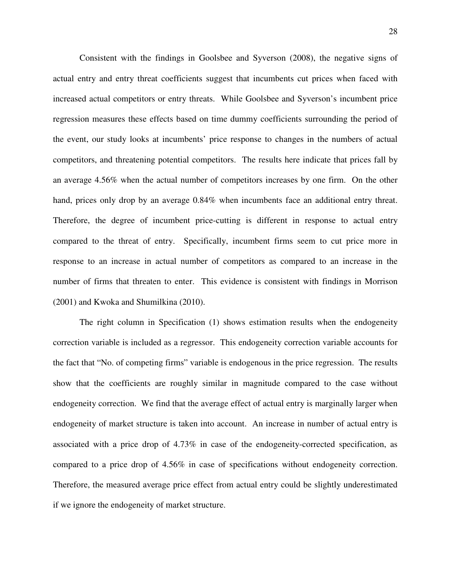Consistent with the findings in Goolsbee and Syverson (2008), the negative signs of actual entry and entry threat coefficients suggest that incumbents cut prices when faced with increased actual competitors or entry threats. While Goolsbee and Syverson's incumbent price regression measures these effects based on time dummy coefficients surrounding the period of the event, our study looks at incumbents' price response to changes in the numbers of actual competitors, and threatening potential competitors. The results here indicate that prices fall by an average 4.56% when the actual number of competitors increases by one firm. On the other hand, prices only drop by an average  $0.84\%$  when incumbents face an additional entry threat. Therefore, the degree of incumbent price-cutting is different in response to actual entry compared to the threat of entry. Specifically, incumbent firms seem to cut price more in response to an increase in actual number of competitors as compared to an increase in the number of firms that threaten to enter. This evidence is consistent with findings in Morrison (2001) and Kwoka and Shumilkina (2010).

The right column in Specification (1) shows estimation results when the endogeneity correction variable is included as a regressor. This endogeneity correction variable accounts for the fact that "No. of competing firms" variable is endogenous in the price regression. The results show that the coefficients are roughly similar in magnitude compared to the case without endogeneity correction. We find that the average effect of actual entry is marginally larger when endogeneity of market structure is taken into account. An increase in number of actual entry is associated with a price drop of 4.73% in case of the endogeneity-corrected specification, as compared to a price drop of 4.56% in case of specifications without endogeneity correction. Therefore, the measured average price effect from actual entry could be slightly underestimated if we ignore the endogeneity of market structure.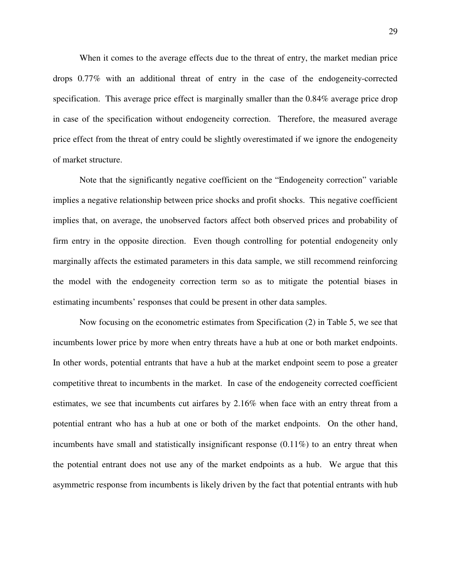When it comes to the average effects due to the threat of entry, the market median price drops 0.77% with an additional threat of entry in the case of the endogeneity-corrected specification. This average price effect is marginally smaller than the 0.84% average price drop in case of the specification without endogeneity correction. Therefore, the measured average price effect from the threat of entry could be slightly overestimated if we ignore the endogeneity of market structure.

Note that the significantly negative coefficient on the "Endogeneity correction" variable implies a negative relationship between price shocks and profit shocks. This negative coefficient implies that, on average, the unobserved factors affect both observed prices and probability of firm entry in the opposite direction. Even though controlling for potential endogeneity only marginally affects the estimated parameters in this data sample, we still recommend reinforcing the model with the endogeneity correction term so as to mitigate the potential biases in estimating incumbents' responses that could be present in other data samples.

Now focusing on the econometric estimates from Specification (2) in Table 5, we see that incumbents lower price by more when entry threats have a hub at one or both market endpoints. In other words, potential entrants that have a hub at the market endpoint seem to pose a greater competitive threat to incumbents in the market. In case of the endogeneity corrected coefficient estimates, we see that incumbents cut airfares by 2.16% when face with an entry threat from a potential entrant who has a hub at one or both of the market endpoints. On the other hand, incumbents have small and statistically insignificant response  $(0.11\%)$  to an entry threat when the potential entrant does not use any of the market endpoints as a hub. We argue that this asymmetric response from incumbents is likely driven by the fact that potential entrants with hub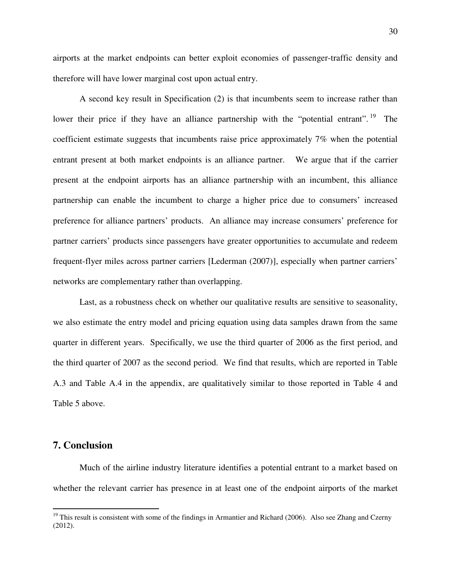airports at the market endpoints can better exploit economies of passenger-traffic density and therefore will have lower marginal cost upon actual entry.

A second key result in Specification (2) is that incumbents seem to increase rather than lower their price if they have an alliance partnership with the "potential entrant". <sup>[19](#page-31-0)</sup> The coefficient estimate suggests that incumbents raise price approximately 7% when the potential entrant present at both market endpoints is an alliance partner. We argue that if the carrier present at the endpoint airports has an alliance partnership with an incumbent, this alliance partnership can enable the incumbent to charge a higher price due to consumers' increased preference for alliance partners' products. An alliance may increase consumers' preference for partner carriers' products since passengers have greater opportunities to accumulate and redeem frequent-flyer miles across partner carriers [Lederman (2007)], especially when partner carriers' networks are complementary rather than overlapping.

Last, as a robustness check on whether our qualitative results are sensitive to seasonality, we also estimate the entry model and pricing equation using data samples drawn from the same quarter in different years. Specifically, we use the third quarter of 2006 as the first period, and the third quarter of 2007 as the second period. We find that results, which are reported in Table A.3 and Table A.4 in the appendix, are qualitatively similar to those reported in Table 4 and Table 5 above.

#### **7. Conclusion**

<u>.</u>

Much of the airline industry literature identifies a potential entrant to a market based on whether the relevant carrier has presence in at least one of the endpoint airports of the market

<span id="page-31-0"></span><sup>&</sup>lt;sup>19</sup> This result is consistent with some of the findings in Armantier and Richard (2006). Also see Zhang and Czerny (2012).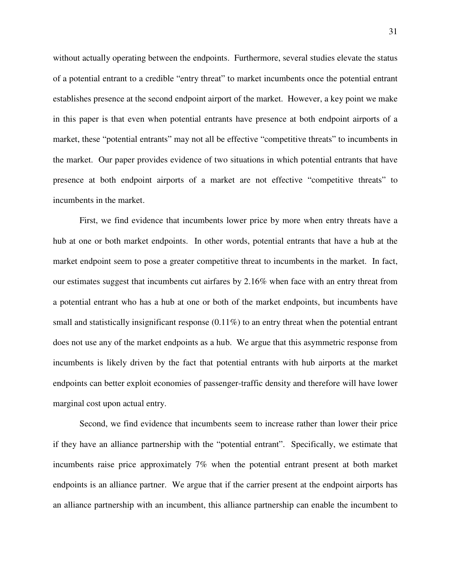without actually operating between the endpoints. Furthermore, several studies elevate the status of a potential entrant to a credible "entry threat" to market incumbents once the potential entrant establishes presence at the second endpoint airport of the market. However, a key point we make in this paper is that even when potential entrants have presence at both endpoint airports of a market, these "potential entrants" may not all be effective "competitive threats" to incumbents in the market. Our paper provides evidence of two situations in which potential entrants that have presence at both endpoint airports of a market are not effective "competitive threats" to incumbents in the market.

First, we find evidence that incumbents lower price by more when entry threats have a hub at one or both market endpoints. In other words, potential entrants that have a hub at the market endpoint seem to pose a greater competitive threat to incumbents in the market. In fact, our estimates suggest that incumbents cut airfares by 2.16% when face with an entry threat from a potential entrant who has a hub at one or both of the market endpoints, but incumbents have small and statistically insignificant response  $(0.11\%)$  to an entry threat when the potential entrant does not use any of the market endpoints as a hub. We argue that this asymmetric response from incumbents is likely driven by the fact that potential entrants with hub airports at the market endpoints can better exploit economies of passenger-traffic density and therefore will have lower marginal cost upon actual entry.

Second, we find evidence that incumbents seem to increase rather than lower their price if they have an alliance partnership with the "potential entrant". Specifically, we estimate that incumbents raise price approximately 7% when the potential entrant present at both market endpoints is an alliance partner. We argue that if the carrier present at the endpoint airports has an alliance partnership with an incumbent, this alliance partnership can enable the incumbent to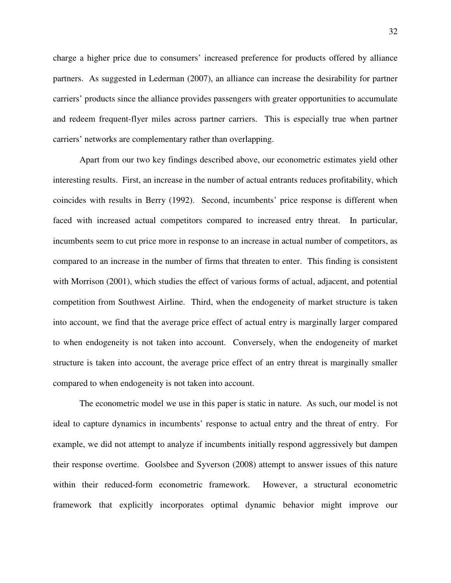charge a higher price due to consumers' increased preference for products offered by alliance partners. As suggested in Lederman (2007), an alliance can increase the desirability for partner carriers' products since the alliance provides passengers with greater opportunities to accumulate and redeem frequent-flyer miles across partner carriers. This is especially true when partner carriers' networks are complementary rather than overlapping.

Apart from our two key findings described above, our econometric estimates yield other interesting results. First, an increase in the number of actual entrants reduces profitability, which coincides with results in Berry (1992). Second, incumbents' price response is different when faced with increased actual competitors compared to increased entry threat. In particular, incumbents seem to cut price more in response to an increase in actual number of competitors, as compared to an increase in the number of firms that threaten to enter. This finding is consistent with Morrison (2001), which studies the effect of various forms of actual, adjacent, and potential competition from Southwest Airline. Third, when the endogeneity of market structure is taken into account, we find that the average price effect of actual entry is marginally larger compared to when endogeneity is not taken into account. Conversely, when the endogeneity of market structure is taken into account, the average price effect of an entry threat is marginally smaller compared to when endogeneity is not taken into account.

The econometric model we use in this paper is static in nature. As such, our model is not ideal to capture dynamics in incumbents' response to actual entry and the threat of entry. For example, we did not attempt to analyze if incumbents initially respond aggressively but dampen their response overtime. Goolsbee and Syverson (2008) attempt to answer issues of this nature within their reduced-form econometric framework. However, a structural econometric framework that explicitly incorporates optimal dynamic behavior might improve our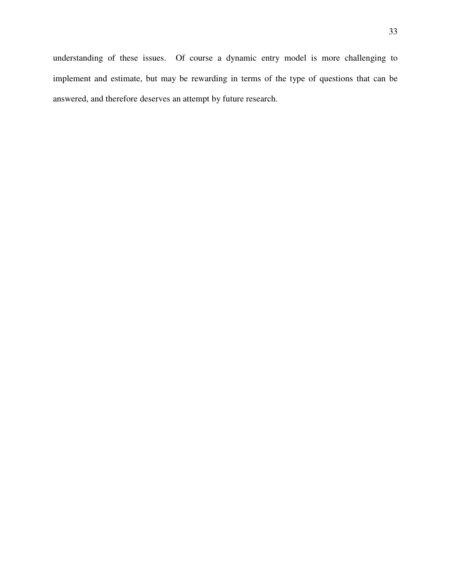understanding of these issues. Of course a dynamic entry model is more challenging to implement and estimate, but may be rewarding in terms of the type of questions that can be answered, and therefore deserves an attempt by future research.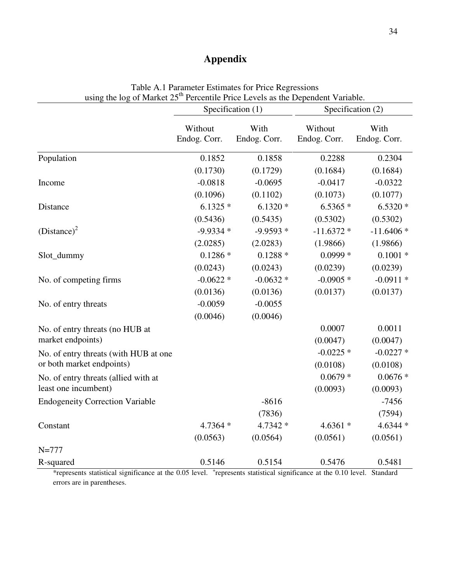# **Appendix**

| using the log of Market 25 <sup>th</sup> Percentile Price Levels as the Dependent Variable. |                         |                      |                         |                      |  |  |
|---------------------------------------------------------------------------------------------|-------------------------|----------------------|-------------------------|----------------------|--|--|
|                                                                                             |                         | Specification (1)    | Specification (2)       |                      |  |  |
|                                                                                             | Without<br>Endog. Corr. | With<br>Endog. Corr. | Without<br>Endog. Corr. | With<br>Endog. Corr. |  |  |
| Population                                                                                  | 0.1852                  | 0.1858               | 0.2288                  | 0.2304               |  |  |
|                                                                                             | (0.1730)                | (0.1729)             | (0.1684)                | (0.1684)             |  |  |
| Income                                                                                      | $-0.0818$               | $-0.0695$            | $-0.0417$               | $-0.0322$            |  |  |
|                                                                                             | (0.1096)                | (0.1102)             | (0.1073)                | (0.1077)             |  |  |
| Distance                                                                                    | $6.1325*$               | $6.1320*$            | $6.5365*$               | $6.5320*$            |  |  |
|                                                                                             | (0.5436)                | (0.5435)             | (0.5302)                | (0.5302)             |  |  |
| $(Distance)^2$                                                                              | $-9.9334*$              | $-9.9593*$           | $-11.6372*$             | $-11.6406*$          |  |  |
|                                                                                             | (2.0285)                | (2.0283)             | (1.9866)                | (1.9866)             |  |  |
| Slot_dummy                                                                                  | $0.1286*$               | $0.1288*$            | $0.0999*$               | $0.1001 *$           |  |  |
|                                                                                             | (0.0243)                | (0.0243)             | (0.0239)                | (0.0239)             |  |  |
| No. of competing firms                                                                      | $-0.0622*$              | $-0.0632*$           | $-0.0905*$              | $-0.0911*$           |  |  |
|                                                                                             | (0.0136)                | (0.0136)             | (0.0137)                | (0.0137)             |  |  |
| No. of entry threats                                                                        | $-0.0059$               | $-0.0055$            |                         |                      |  |  |
|                                                                                             | (0.0046)                | (0.0046)             |                         |                      |  |  |
| No. of entry threats (no HUB at                                                             |                         |                      | 0.0007                  | 0.0011               |  |  |
| market endpoints)                                                                           |                         |                      | (0.0047)                | (0.0047)             |  |  |
| No. of entry threats (with HUB at one                                                       |                         |                      | $-0.0225$ *             | $-0.0227$ *          |  |  |
| or both market endpoints)                                                                   |                         |                      | (0.0108)                | (0.0108)             |  |  |
| No. of entry threats (allied with at                                                        |                         |                      | $0.0679*$               | $0.0676*$            |  |  |
| least one incumbent)                                                                        |                         |                      | (0.0093)                | (0.0093)             |  |  |
| <b>Endogeneity Correction Variable</b>                                                      |                         | $-8616$              |                         | $-7456$              |  |  |
|                                                                                             |                         | (7836)               |                         | (7594)               |  |  |
| Constant                                                                                    | $4.7364*$               | 4.7342 *             | $4.6361*$               | 4.6344 *             |  |  |
|                                                                                             | (0.0563)                | (0.0564)             | (0.0561)                | (0.0561)             |  |  |
| $N = 777$                                                                                   |                         |                      |                         |                      |  |  |
| R-squared                                                                                   | 0.5146                  | 0.5154               | 0.5476                  | 0.5481               |  |  |

Table A.1 Parameter Estimates for Price Regressions

\*represents statistical significance at the 0.05 level. <sup>+</sup>represents statistical significance at the 0.10 level. Standard errors are in parentheses.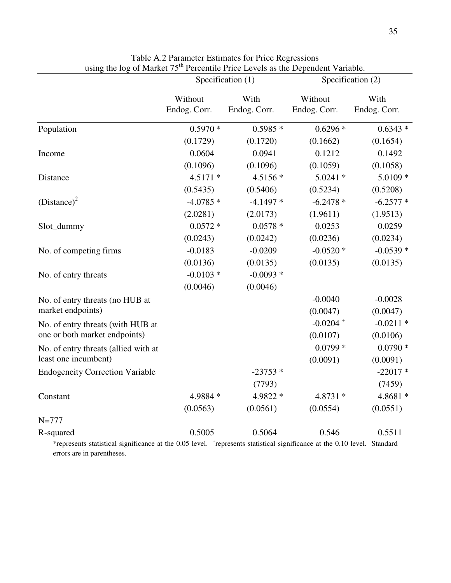|                                        | Specification (1)       |                      | Specification (2)       |                      |  |
|----------------------------------------|-------------------------|----------------------|-------------------------|----------------------|--|
|                                        | Without<br>Endog. Corr. | With<br>Endog. Corr. | Without<br>Endog. Corr. | With<br>Endog. Corr. |  |
| Population                             | $0.5970*$               | $0.5985*$            | $0.6296*$               | $0.6343*$            |  |
|                                        | (0.1729)                | (0.1720)             | (0.1662)                | (0.1654)             |  |
| Income                                 | 0.0604                  | 0.0941               | 0.1212                  | 0.1492               |  |
|                                        | (0.1096)                | (0.1096)             | (0.1059)                | (0.1058)             |  |
| Distance                               | $4.5171*$               | $4.5156*$            | $5.0241$ *              | $5.0109*$            |  |
|                                        | (0.5435)                | (0.5406)             | (0.5234)                | (0.5208)             |  |
| $(Distance)^2$                         | $-4.0785*$              | $-4.1497*$           | $-6.2478*$              | $-6.2577*$           |  |
|                                        | (2.0281)                | (2.0173)             | (1.9611)                | (1.9513)             |  |
| Slot_dummy                             | $0.0572*$               | $0.0578*$            | 0.0253                  | 0.0259               |  |
|                                        | (0.0243)                | (0.0242)             | (0.0236)                | (0.0234)             |  |
| No. of competing firms                 | $-0.0183$               | $-0.0209$            | $-0.0520*$              | $-0.0539*$           |  |
|                                        | (0.0136)                | (0.0135)             | (0.0135)                | (0.0135)             |  |
| No. of entry threats                   | $-0.0103*$              | $-0.0093*$           |                         |                      |  |
|                                        | (0.0046)                | (0.0046)             |                         |                      |  |
| No. of entry threats (no HUB at        |                         |                      | $-0.0040$               | $-0.0028$            |  |
| market endpoints)                      |                         |                      | (0.0047)                | (0.0047)             |  |
| No. of entry threats (with HUB at      |                         |                      | $-0.0204 +$             | $-0.0211*$           |  |
| one or both market endpoints)          |                         |                      | (0.0107)                | (0.0106)             |  |
| No. of entry threats (allied with at   |                         |                      | $0.0799*$               | $0.0790*$            |  |
| least one incumbent)                   |                         |                      | (0.0091)                | (0.0091)             |  |
| <b>Endogeneity Correction Variable</b> |                         | $-23753*$            |                         | $-22017*$            |  |
|                                        |                         | (7793)               |                         | (7459)               |  |
| Constant                               | 4.9884 *                | 4.9822 *             | 4.8731 *                | 4.8681 *             |  |
|                                        | (0.0563)                | (0.0561)             | (0.0554)                | (0.0551)             |  |
| $N = 777$                              |                         |                      |                         |                      |  |
| R-squared                              | 0.5005                  | 0.5064               | 0.546                   | 0.5511               |  |

Table A.2 Parameter Estimates for Price Regressions using the log of Market 75<sup>th</sup> Percentile Price Levels as the Dependent Variable.

\*represents statistical significance at the 0.05 level. <sup>+</sup> represents statistical significance at the 0.10 level. Standard errors are in parentheses.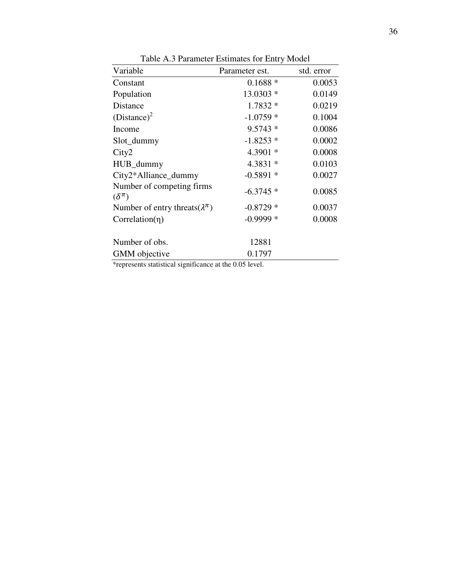| Variable                                      | Parameter est. | std. error |
|-----------------------------------------------|----------------|------------|
| Constant                                      | $0.1688*$      | 0.0053     |
| Population                                    | 13.0303 *      | 0.0149     |
| <b>Distance</b>                               | $1.7832*$      | 0.0219     |
| $(Distance)^2$                                | $-1.0759*$     | 0.1004     |
| Income                                        | $9.5743*$      | 0.0086     |
| Slot_dummy                                    | $-1.8253*$     | 0.0002     |
| City2                                         | 4.3901 *       | 0.0008     |
| HUB_dummy                                     | $4.3831*$      | 0.0103     |
| City2*Alliance_dummy                          | $-0.5891*$     | 0.0027     |
| Number of competing firms<br>$(\delta^{\pi})$ | $-6.3745*$     | 0.0085     |
| Number of entry threats $(\lambda^{\pi})$     | $-0.8729*$     | 0.0037     |
| $Correlation(\eta)$                           | $-0.9999$ *    | 0.0008     |
| Number of obs.                                | 12881          |            |
| GMM objective                                 | 0.1797         |            |

Table A.3 Parameter Estimates for Entry Model

\*represents statistical significance at the 0.05 level.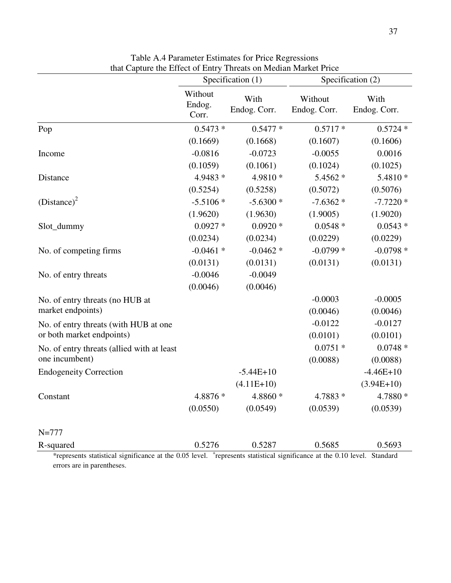|                                                                                                                                      | Specification (1)          |                      | Specification (2)       |                          |
|--------------------------------------------------------------------------------------------------------------------------------------|----------------------------|----------------------|-------------------------|--------------------------|
|                                                                                                                                      | Without<br>Endog.<br>Corr. | With<br>Endog. Corr. | Without<br>Endog. Corr. | With<br>Endog. Corr.     |
| Pop                                                                                                                                  | $0.5473*$                  | $0.5477*$            | $0.5717*$               | $0.5724*$                |
|                                                                                                                                      | (0.1669)                   | (0.1668)             | (0.1607)                | (0.1606)                 |
| Income                                                                                                                               | $-0.0816$                  | $-0.0723$            | $-0.0055$               | 0.0016                   |
|                                                                                                                                      | (0.1059)                   | (0.1061)             | (0.1024)                | (0.1025)                 |
| Distance                                                                                                                             | 4.9483 *                   | 4.9810 *             | 5.4562 *                | 5.4810 *                 |
|                                                                                                                                      | (0.5254)                   | (0.5258)             | (0.5072)                | (0.5076)                 |
| $(Distance)^2$                                                                                                                       | $-5.5106*$                 | $-5.6300*$           | $-7.6362*$              | $-7.7220*$               |
|                                                                                                                                      | (1.9620)                   | (1.9630)             | (1.9005)                | (1.9020)                 |
| Slot_dummy                                                                                                                           | $0.0927*$                  | $0.0920*$            | $0.0548*$               | $0.0543*$                |
|                                                                                                                                      | (0.0234)                   | (0.0234)             | (0.0229)                | (0.0229)                 |
| No. of competing firms                                                                                                               | $-0.0461*$                 | $-0.0462*$           | $-0.0799*$              | $-0.0798*$               |
|                                                                                                                                      | (0.0131)                   | (0.0131)             | (0.0131)                | (0.0131)                 |
| No. of entry threats                                                                                                                 | $-0.0046$                  | $-0.0049$            |                         |                          |
|                                                                                                                                      | (0.0046)                   | (0.0046)             |                         |                          |
| No. of entry threats (no HUB at<br>market endpoints)                                                                                 |                            |                      | $-0.0003$               | $-0.0005$                |
|                                                                                                                                      |                            |                      | (0.0046)                | (0.0046)                 |
| No. of entry threats (with HUB at one<br>or both market endpoints)                                                                   |                            |                      | $-0.0122$               | $-0.0127$                |
|                                                                                                                                      |                            |                      | (0.0101)                | (0.0101)                 |
| No. of entry threats (allied with at least)<br>one incumbent)                                                                        |                            |                      | $0.0751$ *              | $0.0748*$                |
|                                                                                                                                      |                            | $-5.44E+10$          | (0.0088)                | (0.0088)                 |
| <b>Endogeneity Correction</b>                                                                                                        |                            | $(4.11E+10)$         |                         | $-4.46E+10$              |
|                                                                                                                                      | 4.8876 *                   | 4.8860 *             | 4.7883 *                | $(3.94E+10)$<br>4.7880 * |
| Constant                                                                                                                             | (0.0550)                   | (0.0549)             | (0.0539)                | (0.0539)                 |
|                                                                                                                                      |                            |                      |                         |                          |
| $N = 777$                                                                                                                            |                            |                      |                         |                          |
| R-squared                                                                                                                            | 0.5276                     | 0.5287               | 0.5685                  | 0.5693                   |
| *represents statistical significance at the 0.05 level. <sup>+</sup> represents statistical significance at the 0.10 level. Standard |                            |                      |                         |                          |

Table A.4 Parameter Estimates for Price Regressions that Capture the Effect of Entry Threats on Median Market Price

represents statistical significance at the 0.10 level. Standard errors are in parentheses.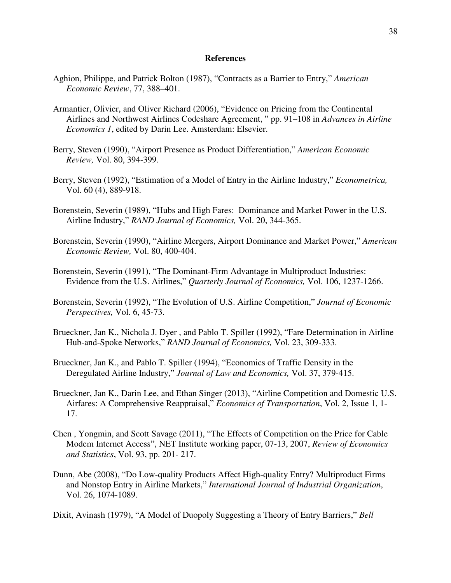#### **References**

- Aghion, Philippe, and Patrick Bolton (1987), "Contracts as a Barrier to Entry," *American Economic Review*, 77, 388–401.
- Armantier, Olivier, and Oliver Richard (2006), "Evidence on Pricing from the Continental Airlines and Northwest Airlines Codeshare Agreement, " pp. 91–108 in *Advances in Airline Economics 1*, edited by Darin Lee. Amsterdam: Elsevier.
- Berry, Steven (1990), "Airport Presence as Product Differentiation," *American Economic Review,* Vol. 80, 394-399.
- Berry, Steven (1992), "Estimation of a Model of Entry in the Airline Industry," *Econometrica,* Vol. 60 (4), 889-918.
- Borenstein, Severin (1989), "Hubs and High Fares: Dominance and Market Power in the U.S. Airline Industry," *RAND Journal of Economics,* Vol. 20, 344-365.
- Borenstein, Severin (1990), "Airline Mergers, Airport Dominance and Market Power," *American Economic Review,* Vol. 80, 400-404.
- Borenstein, Severin (1991), "The Dominant-Firm Advantage in Multiproduct Industries: Evidence from the U.S. Airlines," *Quarterly Journal of Economics,* Vol. 106, 1237-1266.
- Borenstein, Severin (1992), "The Evolution of U.S. Airline Competition," *Journal of Economic Perspectives,* Vol. 6, 45-73.
- Brueckner, Jan K., Nichola J. Dyer , and Pablo T. Spiller (1992), "Fare Determination in Airline Hub-and-Spoke Networks," *RAND Journal of Economics,* Vol. 23, 309-333.
- Brueckner, Jan K., and Pablo T. Spiller (1994), "Economics of Traffic Density in the Deregulated Airline Industry," *Journal of Law and Economics,* Vol. 37, 379-415.
- Brueckner, Jan K., Darin Lee, and Ethan Singer (2013), "Airline Competition and Domestic U.S. Airfares: A Comprehensive Reappraisal," *Economics of Transportation*, Vol. 2, Issue 1, 1- 17.
- Chen , Yongmin, and Scott Savage (2011), "The Effects of Competition on the Price for Cable Modem Internet Access", NET Institute working paper, 07-13, 2007, *Review of Economics and Statistics*, Vol. 93, pp. 201- 217.
- Dunn, Abe (2008), "Do Low-quality Products Affect High-quality Entry? Multiproduct Firms and Nonstop Entry in Airline Markets," *International Journal of Industrial Organization*, Vol. 26, 1074-1089.
- Dixit, Avinash (1979), "A Model of Duopoly Suggesting a Theory of Entry Barriers," *Bell*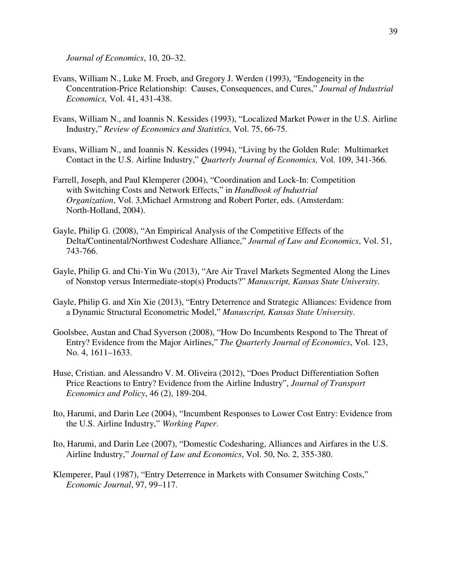*Journal of Economics*, 10, 20–32.

- Evans, William N., Luke M. Froeb, and Gregory J. Werden (1993), "Endogeneity in the Concentration-Price Relationship: Causes, Consequences, and Cures," *Journal of Industrial Economics,* Vol. 41, 431-438.
- Evans, William N., and Ioannis N. Kessides (1993), "Localized Market Power in the U.S. Airline Industry," *Review of Economics and Statistics,* Vol. 75, 66-75.
- Evans, William N., and Ioannis N. Kessides (1994), "Living by the Golden Rule: Multimarket Contact in the U.S. Airline Industry," *Quarterly Journal of Economics,* Vol. 109, 341-366.
- Farrell, Joseph, and Paul Klemperer (2004), "Coordination and Lock-In: Competition with Switching Costs and Network Effects," in *Handbook of Industrial Organization*, Vol. 3,Michael Armstrong and Robert Porter, eds. (Amsterdam: North-Holland, 2004).
- Gayle, Philip G. (2008), "An Empirical Analysis of the Competitive Effects of the Delta/Continental/Northwest Codeshare Alliance," *Journal of Law and Economics*, Vol. 51, 743-766.
- Gayle, Philip G. and Chi-Yin Wu (2013), "Are Air Travel Markets Segmented Along the Lines of Nonstop versus Intermediate-stop(s) Products?" *Manuscript, Kansas State University*.
- Gayle, Philip G. and Xin Xie (2013), "Entry Deterrence and Strategic Alliances: Evidence from a Dynamic Structural Econometric Model," *Manuscript, Kansas State University*.
- Goolsbee, Austan and Chad Syverson (2008), "How Do Incumbents Respond to The Threat of Entry? Evidence from the Major Airlines," *The Quarterly Journal of Economics*, Vol. 123, No. 4, 1611–1633.
- Huse, Cristian. and Alessandro V. M. Oliveira (2012), "Does Product Differentiation Soften Price Reactions to Entry? Evidence from the Airline Industry", *Journal of Transport Economics and Policy*, 46 (2), 189-204.
- Ito, Harumi, and Darin Lee (2004), "Incumbent Responses to Lower Cost Entry: Evidence from the U.S. Airline Industry," *Working Paper*.
- Ito, Harumi, and Darin Lee (2007), "Domestic Codesharing, Alliances and Airfares in the U.S. Airline Industry," *Journal of Law and Economics*, Vol. 50, No. 2, 355-380.
- Klemperer, Paul (1987), "Entry Deterrence in Markets with Consumer Switching Costs," *Economic Journal*, 97, 99–117.